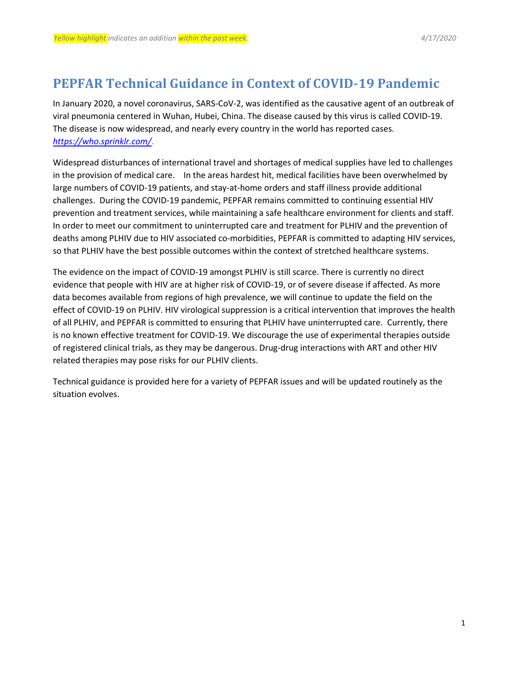## **PEPFAR Technical Guidance in Context of COVID-19 Pandemic**

In January 2020, a novel coronavirus, SARS-CoV-2, was identified as the causative agent of an outbreak of viral pneumonia centered in Wuhan, Hubei, China. The disease caused by this virus is called COVID-19. The disease is now widespread, and nearly every country in the world has reported cases. *<https://who.sprinklr.com/>*.

Widespread disturbances of international travel and shortages of medical supplies have led to challenges in the provision of medical care. In the areas hardest hit, medical facilities have been overwhelmed by large numbers of COVID-19 patients, and stay-at-home orders and staff illness provide additional challenges. During the COVID-19 pandemic, PEPFAR remains committed to continuing essential HIV prevention and treatment services, while maintaining a safe healthcare environment for clients and staff. In order to meet our commitment to uninterrupted care and treatment for PLHIV and the prevention of deaths among PLHIV due to HIV associated co-morbidities, PEPFAR is committed to adapting HIV services, so that PLHIV have the best possible outcomes within the context of stretched healthcare systems.

The evidence on the impact of COVID-19 amongst PLHIV is still scarce. There is currently no direct evidence that people with HIV are at higher risk of COVID-19, or of severe disease if affected. As more data becomes available from regions of high prevalence, we will continue to update the field on the effect of COVID-19 on PLHIV. HIV virological suppression is a critical intervention that improves the health of all PLHIV, and PEPFAR is committed to ensuring that PLHIV have uninterrupted care. Currently, there is no known effective treatment for COVID-19. We discourage the use of experimental therapies outside of registered clinical trials, as they may be dangerous. Drug-drug interactions with ART and other HIV related therapies may pose risks for our PLHIV clients.

Technical guidance is provided here for a variety of PEPFAR issues and will be updated routinely as the situation evolves.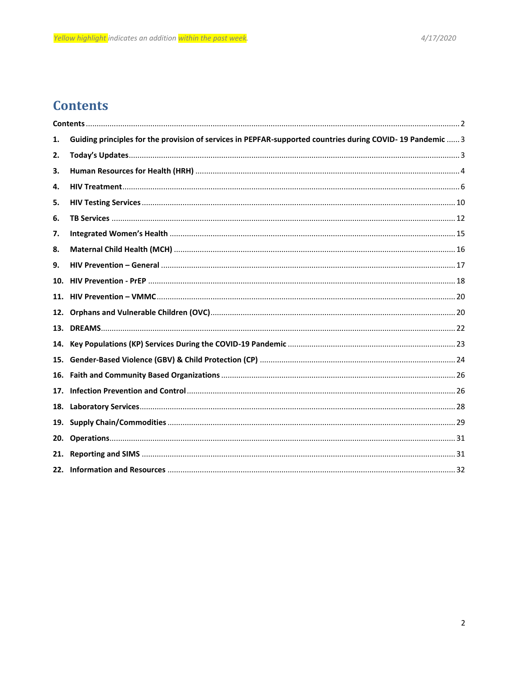# <span id="page-1-0"></span>**Contents**

| 1.  | Guiding principles for the provision of services in PEPFAR-supported countries during COVID-19 Pandemic  3 |  |
|-----|------------------------------------------------------------------------------------------------------------|--|
| 2.  |                                                                                                            |  |
| 3.  |                                                                                                            |  |
| 4.  |                                                                                                            |  |
| 5.  |                                                                                                            |  |
| 6.  |                                                                                                            |  |
| 7.  |                                                                                                            |  |
| 8.  |                                                                                                            |  |
| 9.  |                                                                                                            |  |
| 10. |                                                                                                            |  |
| 11. |                                                                                                            |  |
| 12. |                                                                                                            |  |
| 13. |                                                                                                            |  |
| 14. |                                                                                                            |  |
| 15. |                                                                                                            |  |
| 16. |                                                                                                            |  |
| 17. |                                                                                                            |  |
| 18. |                                                                                                            |  |
| 19. |                                                                                                            |  |
| 20. |                                                                                                            |  |
| 21. |                                                                                                            |  |
| 22. |                                                                                                            |  |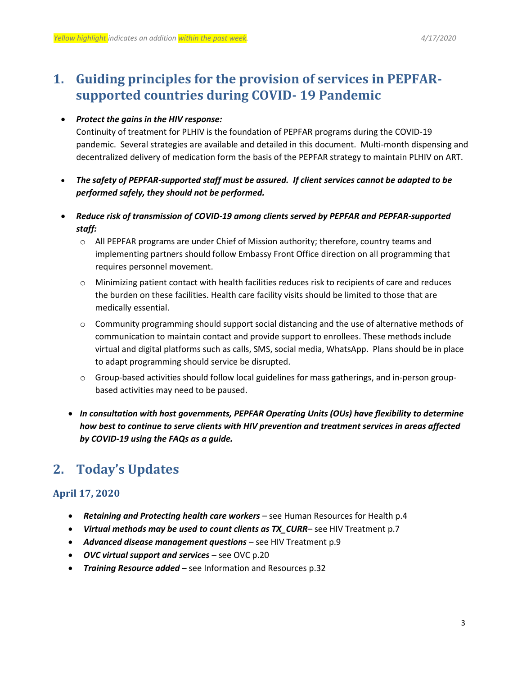# <span id="page-2-0"></span>**1. Guiding principles for the provision of services in PEPFARsupported countries during COVID- 19 Pandemic**

## *Protect the gains in the HIV response:*

Continuity of treatment for PLHIV is the foundation of PEPFAR programs during the COVID-19 pandemic. Several strategies are available and detailed in this document. Multi-month dispensing and decentralized delivery of medication form the basis of the PEPFAR strategy to maintain PLHIV on ART.

- *The safety of PEPFAR-supported staff must be assured. If client services cannot be adapted to be performed safely, they should not be performed.*
- *Reduce risk of transmission of COVID-19 among clients served by PEPFAR and PEPFAR-supported staff:*
	- o All PEPFAR programs are under Chief of Mission authority; therefore, country teams and implementing partners should follow Embassy Front Office direction on all programming that requires personnel movement.
	- o Minimizing patient contact with health facilities reduces risk to recipients of care and reduces the burden on these facilities. Health care facility visits should be limited to those that are medically essential.
	- o Community programming should support social distancing and the use of alternative methods of communication to maintain contact and provide support to enrollees. These methods include virtual and digital platforms such as calls, SMS, social media, WhatsApp. Plans should be in place to adapt programming should service be disrupted.
	- $\circ$  Group-based activities should follow local guidelines for mass gatherings, and in-person groupbased activities may need to be paused.
	- *In consultation with host governments, PEPFAR Operating Units (OUs) have flexibility to determine how best to continue to serve clients with HIV prevention and treatment services in areas affected by COVID-19 using the FAQs as a guide.*

# <span id="page-2-1"></span>**2. Today's Updates**

## **April 17, 2020**

- *Retaining and Protecting health care workers* see Human Resources for Health p.4
- *Virtual methods may be used to count clients as TX\_CURR* see HIV Treatment p.7
- *Advanced disease management questions* see HIV Treatment p.9
- *OVC virtual support and services*  see OVC p.20
- *Training Resource added* see Information and Resources p.32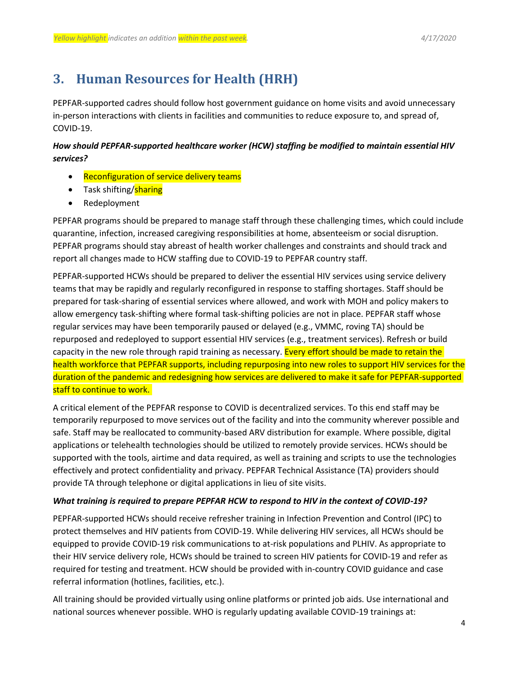# <span id="page-3-0"></span>**3. Human Resources for Health (HRH)**

PEPFAR-supported cadres should follow host government guidance on home visits and avoid unnecessary in-person interactions with clients in facilities and communities to reduce exposure to, and spread of, COVID-19.

## *How should PEPFAR-supported healthcare worker (HCW) staffing be modified to maintain essential HIV services?*

- Reconfiguration of service delivery teams
- Task shifting/**sharing**
- Redeployment

PEPFAR programs should be prepared to manage staff through these challenging times, which could include quarantine, infection, increased caregiving responsibilities at home, absenteeism or social disruption. PEPFAR programs should stay abreast of health worker challenges and constraints and should track and report all changes made to HCW staffing due to COVID-19 to PEPFAR country staff.

PEPFAR-supported HCWs should be prepared to deliver the essential HIV services using service delivery teams that may be rapidly and regularly reconfigured in response to staffing shortages. Staff should be prepared for task-sharing of essential services where allowed, and work with MOH and policy makers to allow emergency task-shifting where formal task-shifting policies are not in place. PEPFAR staff whose regular services may have been temporarily paused or delayed (e.g., VMMC, roving TA) should be repurposed and redeployed to support essential HIV services (e.g., treatment services). Refresh or build capacity in the new role through rapid training as necessary. Every effort should be made to retain the health workforce that PEPFAR supports, including repurposing into new roles to support HIV services for the duration of the pandemic and redesigning how services are delivered to make it safe for PEPFAR-supported staff to continue to work.

A critical element of the PEPFAR response to COVID is decentralized services. To this end staff may be temporarily repurposed to move services out of the facility and into the community wherever possible and safe. Staff may be reallocated to community-based ARV distribution for example. Where possible, digital applications or telehealth technologies should be utilized to remotely provide services. HCWs should be supported with the tools, airtime and data required, as well as training and scripts to use the technologies effectively and protect confidentiality and privacy. PEPFAR Technical Assistance (TA) providers should provide TA through telephone or digital applications in lieu of site visits.

### *What training is required to prepare PEPFAR HCW to respond to HIV in the context of COVID-19?*

PEPFAR-supported HCWs should receive refresher training in Infection Prevention and Control (IPC) to protect themselves and HIV patients from COVID-19. While delivering HIV services, all HCWs should be equipped to provide COVID-19 risk communications to at-risk populations and PLHIV. As appropriate to their HIV service delivery role, HCWs should be trained to screen HIV patients for COVID-19 and refer as required for testing and treatment. HCW should be provided with in-country COVID guidance and case referral information (hotlines, facilities, etc.).

All training should be provided virtually using online platforms or printed job aids. Use international and national sources whenever possible. WHO is regularly updating available COVID-19 trainings at: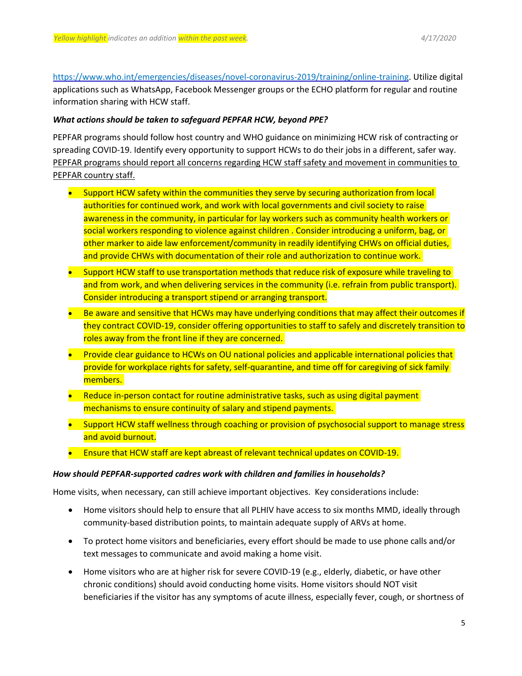[https://www.who.int/emergencies/diseases/novel-coronavirus-2019/training/online-training.](https://www.who.int/emergencies/diseases/novel-coronavirus-2019/training/online-training) Utilize digital applications such as WhatsApp, Facebook Messenger groups or the ECHO platform for regular and routine information sharing with HCW staff.

#### *What actions should be taken to safeguard PEPFAR HCW, beyond PPE?*

PEPFAR programs should follow host country and WHO guidance on minimizing HCW risk of contracting or spreading COVID-19. Identify every opportunity to support HCWs to do their jobs in a different, safer way. PEPFAR programs should report all concerns regarding HCW staff safety and movement in communities to PEPFAR country staff.

- Support HCW safety within the communities they serve by securing authorization from local authorities for continued work, and work with local governments and civil society to raise awareness in the community, in particular for lay workers such as community health workers or social workers responding to violence against children . Consider introducing a uniform, bag, or other marker to aide law enforcement/community in readily identifying CHWs on official duties, and provide CHWs with documentation of their role and authorization to continue work.
- Support HCW staff to use transportation methods that reduce risk of exposure while traveling to and from work, and when delivering services in the community (i.e. refrain from public transport). Consider introducing a transport stipend or arranging transport.
- Be aware and sensitive that HCWs may have underlying conditions that may affect their outcomes if they contract COVID-19, consider offering opportunities to staff to safely and discretely transition to roles away from the front line if they are concerned.
- **•** Provide clear guidance to HCWs on OU national policies and applicable international policies that provide for workplace rights for safety, self-quarantine, and time off for caregiving of sick family members.
- Reduce in-person contact for routine administrative tasks, such as using digital payment mechanisms to ensure continuity of salary and stipend payments.
- Support HCW staff wellness through coaching or provision of psychosocial support to manage stress and avoid burnout.
- Ensure that HCW staff are kept abreast of relevant technical updates on COVID-19.

#### *How should PEPFAR-supported cadres work with children and families in households?*

Home visits, when necessary, can still achieve important objectives. Key considerations include:

- Home visitors should help to ensure that all PLHIV have access to six months MMD, ideally through community-based distribution points, to maintain adequate supply of ARVs at home.
- To protect home visitors and beneficiaries, every effort should be made to use phone calls and/or text messages to communicate and avoid making a home visit.
- Home visitors who are at higher risk for severe COVID-19 (e.g., elderly, diabetic, or have other chronic conditions) should avoid conducting home visits. Home visitors should NOT visit beneficiaries if the visitor has any symptoms of acute illness, especially fever, cough, or shortness of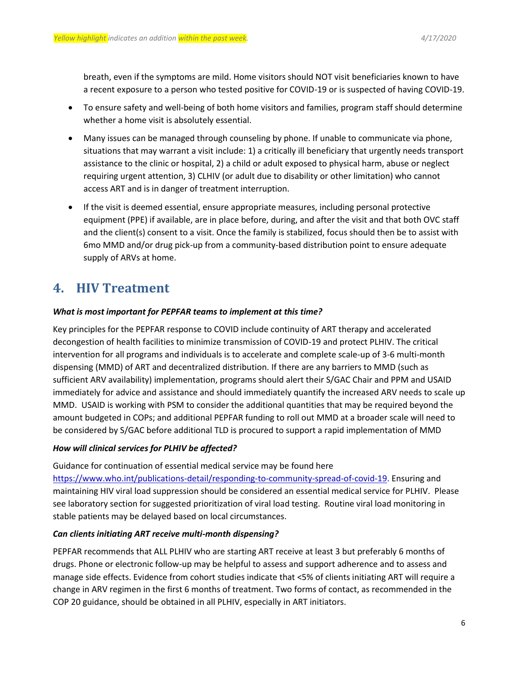breath, even if the symptoms are mild. Home visitors should NOT visit beneficiaries known to have a recent exposure to a person who tested positive for COVID-19 or is suspected of having COVID-19.

- To ensure safety and well-being of both home visitors and families, program staff should determine whether a home visit is absolutely essential.
- Many issues can be managed through counseling by phone. If unable to communicate via phone, situations that may warrant a visit include: 1) a critically ill beneficiary that urgently needs transport assistance to the clinic or hospital, 2) a child or adult exposed to physical harm, abuse or neglect requiring urgent attention, 3) CLHIV (or adult due to disability or other limitation) who cannot access ART and is in danger of treatment interruption.
- If the visit is deemed essential, ensure appropriate measures, including personal protective equipment (PPE) if available, are in place before, during, and after the visit and that both OVC staff and the client(s) consent to a visit. Once the family is stabilized, focus should then be to assist with 6mo MMD and/or drug pick-up from a community-based distribution point to ensure adequate supply of ARVs at home.

# <span id="page-5-0"></span>**4. HIV Treatment**

### *What is most important for PEPFAR teams to implement at this time?*

Key principles for the PEPFAR response to COVID include continuity of ART therapy and accelerated decongestion of health facilities to minimize transmission of COVID-19 and protect PLHIV. The critical intervention for all programs and individuals is to accelerate and complete scale-up of 3-6 multi-month dispensing (MMD) of ART and decentralized distribution. If there are any barriers to MMD (such as sufficient ARV availability) implementation, programs should alert their S/GAC Chair and PPM and USAID immediately for advice and assistance and should immediately quantify the increased ARV needs to scale up MMD. USAID is working with PSM to consider the additional quantities that may be required beyond the amount budgeted in COPs; and additional PEPFAR funding to roll out MMD at a broader scale will need to be considered by S/GAC before additional TLD is procured to support a rapid implementation of MMD

### *How will clinical services for PLHIV be affected?*

Guidance for continuation of essential medical service may be found here

[https://www.who.int/publications-detail/responding-to-community-spread-of-covid-19.](https://www.who.int/publications-detail/responding-to-community-spread-of-covid-19) Ensuring and maintaining HIV viral load suppression should be considered an essential medical service for PLHIV. Please see laboratory section for suggested prioritization of viral load testing. Routine viral load monitoring in stable patients may be delayed based on local circumstances.

### *Can clients initiating ART receive multi-month dispensing?*

PEPFAR recommends that ALL PLHIV who are starting ART receive at least 3 but preferably 6 months of drugs. Phone or electronic follow-up may be helpful to assess and support adherence and to assess and manage side effects. Evidence from cohort studies indicate that <5% of clients initiating ART will require a change in ARV regimen in the first 6 months of treatment. Two forms of contact, as recommended in the COP 20 guidance, should be obtained in all PLHIV, especially in ART initiators.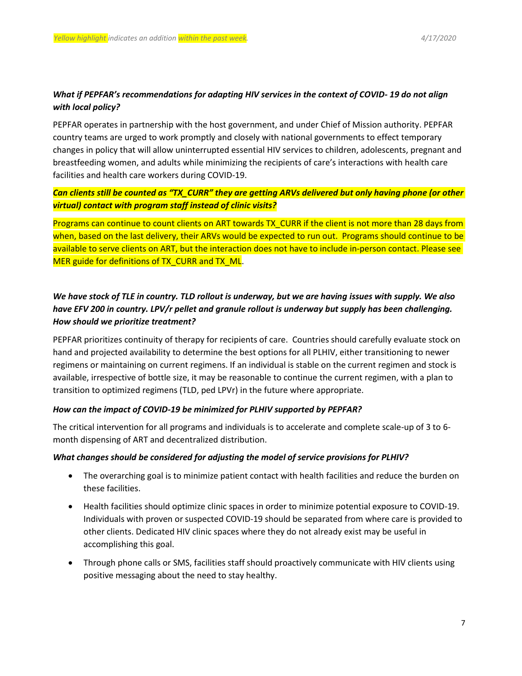## *What if PEPFAR's recommendations for adapting HIV services in the context of COVID- 19 do not align with local policy?*

PEPFAR operates in partnership with the host government, and under Chief of Mission authority. PEPFAR country teams are urged to work promptly and closely with national governments to effect temporary changes in policy that will allow uninterrupted essential HIV services to children, adolescents, pregnant and breastfeeding women, and adults while minimizing the recipients of care's interactions with health care facilities and health care workers during COVID-19.

## *Can clients still be counted as "TX\_CURR" they are getting ARVs delivered but only having phone (or other virtual) contact with program staff instead of clinic visits?*

Programs can continue to count clients on ART towards TX\_CURR if the client is not more than 28 days from when, based on the last delivery, their ARVs would be expected to run out. Programs should continue to be available to serve clients on ART, but the interaction does not have to include in-person contact. Please see MER guide for definitions of TX\_CURR and TX\_ML.

## *We have stock of TLE in country. TLD rollout is underway, but we are having issues with supply. We also have EFV 200 in country. LPV/r pellet and granule rollout is underway but supply has been challenging. How should we prioritize treatment?*

PEPFAR prioritizes continuity of therapy for recipients of care. Countries should carefully evaluate stock on hand and projected availability to determine the best options for all PLHIV, either transitioning to newer regimens or maintaining on current regimens. If an individual is stable on the current regimen and stock is available, irrespective of bottle size, it may be reasonable to continue the current regimen, with a plan to transition to optimized regimens (TLD, ped LPVr) in the future where appropriate.

### *How can the impact of COVID-19 be minimized for PLHIV supported by PEPFAR?*

The critical intervention for all programs and individuals is to accelerate and complete scale-up of 3 to 6 month dispensing of ART and decentralized distribution.

### *What changes should be considered for adjusting the model of service provisions for PLHIV?*

- The overarching goal is to minimize patient contact with health facilities and reduce the burden on these facilities.
- Health facilities should optimize clinic spaces in order to minimize potential exposure to COVID-19. Individuals with proven or suspected COVID-19 should be separated from where care is provided to other clients. Dedicated HIV clinic spaces where they do not already exist may be useful in accomplishing this goal.
- Through phone calls or SMS, facilities staff should proactively communicate with HIV clients using positive messaging about the need to stay healthy.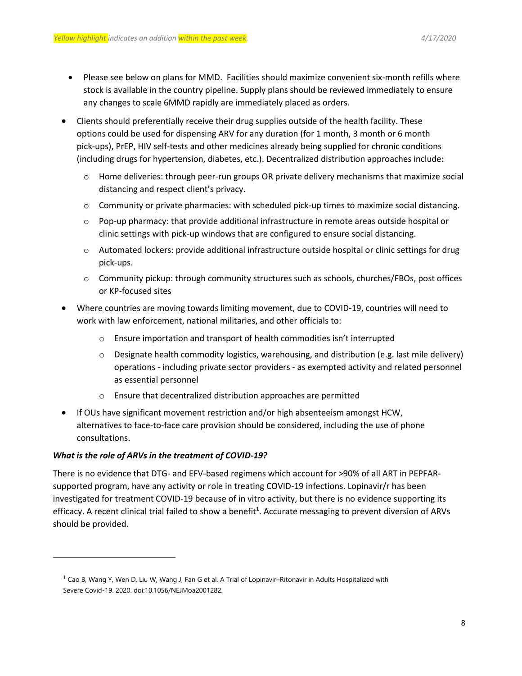- Please see below on plans for MMD. Facilities should maximize convenient six-month refills where stock is available in the country pipeline. Supply plans should be reviewed immediately to ensure any changes to scale 6MMD rapidly are immediately placed as orders.
- Clients should preferentially receive their drug supplies outside of the health facility. These options could be used for dispensing ARV for any duration (for 1 month, 3 month or 6 month pick-ups), PrEP, HIV self-tests and other medicines already being supplied for chronic conditions (including drugs for hypertension, diabetes, etc.). Decentralized distribution approaches include:
	- o Home deliveries: through peer-run groups OR private delivery mechanisms that maximize social distancing and respect client's privacy.
	- $\circ$  Community or private pharmacies: with scheduled pick-up times to maximize social distancing.
	- o Pop-up pharmacy: that provide additional infrastructure in remote areas outside hospital or clinic settings with pick-up windows that are configured to ensure social distancing.
	- $\circ$  Automated lockers: provide additional infrastructure outside hospital or clinic settings for drug pick-ups.
	- $\circ$  Community pickup: through community structures such as schools, churches/FBOs, post offices or KP-focused sites
- Where countries are moving towards limiting movement, due to COVID-19, countries will need to work with law enforcement, national militaries, and other officials to:
	- o Ensure importation and transport of health commodities isn't interrupted
	- $\circ$  Designate health commodity logistics, warehousing, and distribution (e.g. last mile delivery) operations - including private sector providers - as exempted activity and related personnel as essential personnel
	- o Ensure that decentralized distribution approaches are permitted
- If OUs have significant movement restriction and/or high absenteeism amongst HCW, alternatives to face-to-face care provision should be considered, including the use of phone consultations.

## *What is the role of ARVs in the treatment of COVID-19?*

 $\overline{a}$ 

There is no evidence that DTG- and EFV-based regimens which account for >90% of all ART in PEPFARsupported program, have any activity or role in treating COVID-19 infections. Lopinavir/r has been investigated for treatment COVID-19 because of in vitro activity, but there is no evidence supporting its efficacy. A recent clinical trial failed to show a benefit<sup>1</sup>. Accurate messaging to prevent diversion of ARVs should be provided.

 $1$  Cao B, Wang Y, Wen D, Liu W, Wang J, Fan G et al. A Trial of Lopinavir–Ritonavir in Adults Hospitalized with Severe Covid-19. 2020. doi:10.1056/NEJMoa2001282.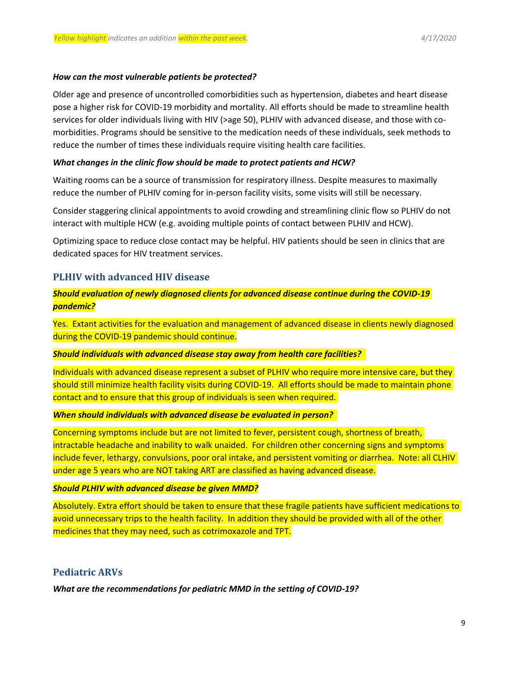#### *How can the most vulnerable patients be protected?*

Older age and presence of uncontrolled comorbidities such as hypertension, diabetes and heart disease pose a higher risk for COVID-19 morbidity and mortality. All efforts should be made to streamline health services for older individuals living with HIV (>age 50), PLHIV with advanced disease, and those with comorbidities. Programs should be sensitive to the medication needs of these individuals, seek methods to reduce the number of times these individuals require visiting health care facilities.

#### *What changes in the clinic flow should be made to protect patients and HCW?*

Waiting rooms can be a source of transmission for respiratory illness. Despite measures to maximally reduce the number of PLHIV coming for in-person facility visits, some visits will still be necessary.

Consider staggering clinical appointments to avoid crowding and streamlining clinic flow so PLHIV do not interact with multiple HCW (e.g. avoiding multiple points of contact between PLHIV and HCW).

Optimizing space to reduce close contact may be helpful. HIV patients should be seen in clinics that are dedicated spaces for HIV treatment services.

## **PLHIV with advanced HIV disease**

*Should evaluation of newly diagnosed clients for advanced disease continue during the COVID-19 pandemic?*

Yes. Extant activities for the evaluation and management of advanced disease in clients newly diagnosed during the COVID-19 pandemic should continue.

#### *Should individuals with advanced disease stay away from health care facilities?*

Individuals with advanced disease represent a subset of PLHIV who require more intensive care, but they should still minimize health facility visits during COVID-19. All efforts should be made to maintain phone contact and to ensure that this group of individuals is seen when required.

#### *When should individuals with advanced disease be evaluated in person?*

Concerning symptoms include but are not limited to fever, persistent cough, shortness of breath, intractable headache and inability to walk unaided. For children other concerning signs and symptoms include fever, lethargy, convulsions, poor oral intake, and persistent vomiting or diarrhea. Note: all CLHIV under age 5 years who are NOT taking ART are classified as having advanced disease.

#### *Should PLHIV with advanced disease be given MMD?*

Absolutely. Extra effort should be taken to ensure that these fragile patients have sufficient medications to avoid unnecessary trips to the health facility. In addition they should be provided with all of the other medicines that they may need, such as cotrimoxazole and TPT.

## **Pediatric ARVs**

*What are the recommendations for pediatric MMD in the setting of COVID-19?*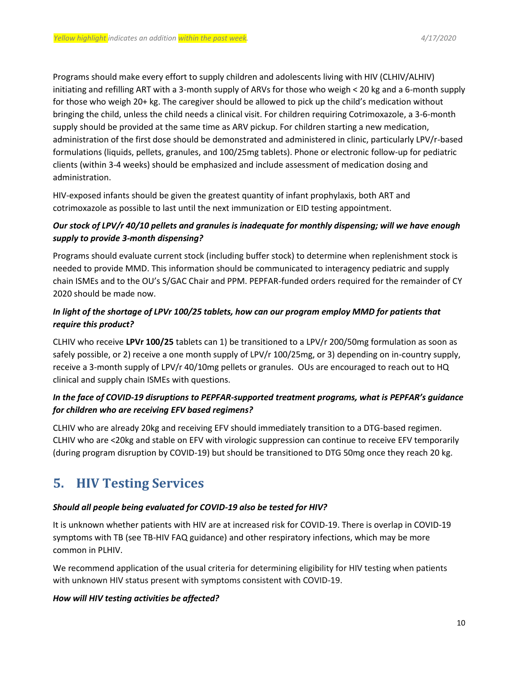Programs should make every effort to supply children and adolescents living with HIV (CLHIV/ALHIV) initiating and refilling ART with a 3-month supply of ARVs for those who weigh < 20 kg and a 6-month supply for those who weigh 20+ kg. The caregiver should be allowed to pick up the child's medication without bringing the child, unless the child needs a clinical visit. For children requiring Cotrimoxazole, a 3-6-month supply should be provided at the same time as ARV pickup. For children starting a new medication, administration of the first dose should be demonstrated and administered in clinic, particularly LPV/r-based formulations (liquids, pellets, granules, and 100/25mg tablets). Phone or electronic follow-up for pediatric clients (within 3-4 weeks) should be emphasized and include assessment of medication dosing and administration.

HIV-exposed infants should be given the greatest quantity of infant prophylaxis, both ART and cotrimoxazole as possible to last until the next immunization or EID testing appointment.

## *Our stock of LPV/r 40/10 pellets and granules is inadequate for monthly dispensing; will we have enough supply to provide 3-month dispensing?*

Programs should evaluate current stock (including buffer stock) to determine when replenishment stock is needed to provide MMD. This information should be communicated to interagency pediatric and supply chain ISMEs and to the OU's S/GAC Chair and PPM. PEPFAR-funded orders required for the remainder of CY 2020 should be made now.

## *In light of the shortage of LPVr 100/25 tablets, how can our program employ MMD for patients that require this product?*

CLHIV who receive **LPVr 100/25** tablets can 1) be transitioned to a LPV/r 200/50mg formulation as soon as safely possible, or 2) receive a one month supply of LPV/r 100/25mg, or 3) depending on in-country supply, receive a 3-month supply of LPV/r 40/10mg pellets or granules. OUs are encouraged to reach out to HQ clinical and supply chain ISMEs with questions.

## *In the face of COVID-19 disruptions to PEPFAR-supported treatment programs, what is PEPFAR's guidance for children who are receiving EFV based regimens?*

CLHIV who are already 20kg and receiving EFV should immediately transition to a DTG-based regimen. CLHIV who are <20kg and stable on EFV with virologic suppression can continue to receive EFV temporarily (during program disruption by COVID-19) but should be transitioned to DTG 50mg once they reach 20 kg.

# <span id="page-9-0"></span>**5. HIV Testing Services**

## *Should all people being evaluated for COVID-19 also be tested for HIV?*

It is unknown whether patients with HIV are at increased risk for COVID-19. There is overlap in COVID-19 symptoms with TB (see TB-HIV FAQ guidance) and other respiratory infections, which may be more common in PLHIV.

We recommend application of the usual criteria for determining eligibility for HIV testing when patients with unknown HIV status present with symptoms consistent with COVID-19.

## *How will HIV testing activities be affected?*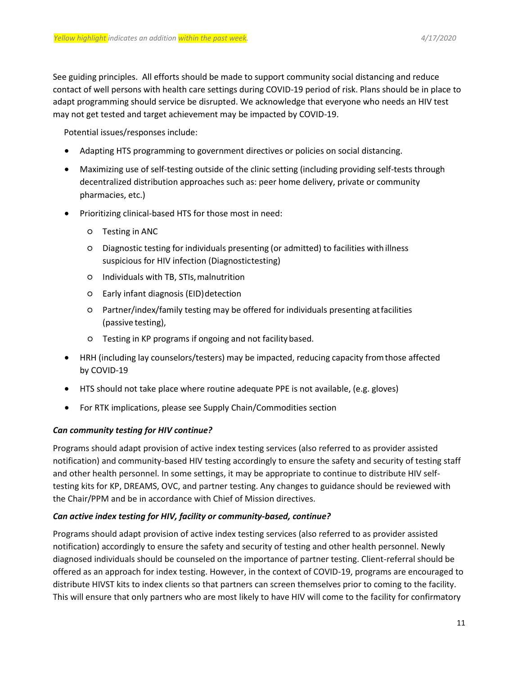See guiding principles. All efforts should be made to support community social distancing and reduce contact of well persons with health care settings during COVID-19 period of risk. Plans should be in place to adapt programming should service be disrupted. We acknowledge that everyone who needs an HIV test may not get tested and target achievement may be impacted by COVID-19.

Potential issues/responses include:

- Adapting HTS programming to government directives or policies on social distancing.
- Maximizing use of self-testing outside of the clinic setting (including providing self-tests through decentralized distribution approaches such as: peer home delivery, private or community pharmacies, etc.)
- Prioritizing clinical-based HTS for those most in need:
	- Testing in ANC
	- Diagnostic testing for individuals presenting (or admitted) to facilities with illness suspicious for HIV infection (Diagnostictesting)
	- Individuals with TB, STIs,malnutrition
	- Early infant diagnosis (EID)detection
	- Partner/index/family testing may be offered for individuals presenting atfacilities (passive testing),
	- Testing in KP programs if ongoing and not facility based.
- HRH (including lay counselors/testers) may be impacted, reducing capacity fromthose affected by COVID-19
- HTS should not take place where routine adequate PPE is not available, (e.g. gloves)
- For RTK implications, please see Supply Chain/Commodities section

#### *Can community testing for HIV continue?*

Programs should adapt provision of active index testing services (also referred to as provider assisted notification) and community-based HIV testing accordingly to ensure the safety and security of testing staff and other health personnel. In some settings, it may be appropriate to continue to distribute HIV selftesting kits for KP, DREAMS, OVC, and partner testing. Any changes to guidance should be reviewed with the Chair/PPM and be in accordance with Chief of Mission directives.

#### *Can active index testing for HIV, facility or community-based, continue?*

Programs should adapt provision of active index testing services (also referred to as provider assisted notification) accordingly to ensure the safety and security of testing and other health personnel. Newly diagnosed individuals should be counseled on the importance of partner testing. Client-referral should be offered as an approach for index testing. However, in the context of COVID-19, programs are encouraged to distribute HIVST kits to index clients so that partners can screen themselves prior to coming to the facility. This will ensure that only partners who are most likely to have HIV will come to the facility for confirmatory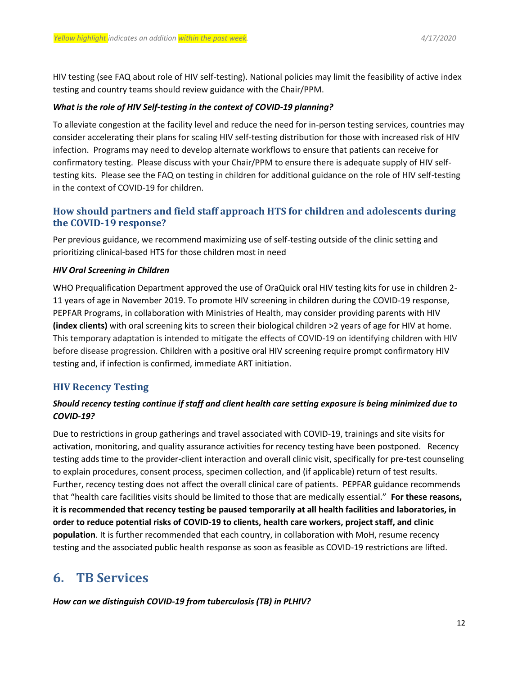HIV testing (see FAQ about role of HIV self-testing). National policies may limit the feasibility of active index testing and country teams should review guidance with the Chair/PPM.

#### *What is the role of HIV Self-testing in the context of COVID-19 planning?*

To alleviate congestion at the facility level and reduce the need for in-person testing services, countries may consider accelerating their plans for scaling HIV self-testing distribution for those with increased risk of HIV infection. Programs may need to develop alternate workflows to ensure that patients can receive for confirmatory testing. Please discuss with your Chair/PPM to ensure there is adequate supply of HIV selftesting kits. Please see the FAQ on testing in children for additional guidance on the role of HIV self-testing in the context of COVID-19 for children.

## **How should partners and field staff approach HTS for children and adolescents during the COVID-19 response?**

Per previous guidance, we recommend maximizing use of self-testing outside of the clinic setting and prioritizing clinical-based HTS for those children most in need

#### *HIV Oral Screening in Children*

WHO Prequalification Department approved the use of OraQuick oral HIV testing kits for use in children 2- 11 years of age in November 2019. To promote HIV screening in children during the COVID-19 response, PEPFAR Programs, in collaboration with Ministries of Health, may consider providing parents with HIV **(index clients)** with oral screening kits to screen their biological children >2 years of age for HIV at home. This temporary adaptation is intended to mitigate the effects of COVID-19 on identifying children with HIV before disease progression. Children with a positive oral HIV screening require prompt confirmatory HIV testing and, if infection is confirmed, immediate ART initiation.

## **HIV Recency Testing**

## *Should recency testing continue if staff and client health care setting exposure is being minimized due to COVID-19?*

Due to restrictions in group gatherings and travel associated with COVID-19, trainings and site visits for activation, monitoring, and quality assurance activities for recency testing have been postponed. Recency testing adds time to the provider-client interaction and overall clinic visit, specifically for pre-test counseling to explain procedures, consent process, specimen collection, and (if applicable) return of test results. Further, recency testing does not affect the overall clinical care of patients. PEPFAR guidance recommends that "health care facilities visits should be limited to those that are medically essential." **For these reasons, it is recommended that recency testing be paused temporarily at all health facilities and laboratories, in order to reduce potential risks of COVID-19 to clients, health care workers, project staff, and clinic population**. It is further recommended that each country, in collaboration with MoH, resume recency testing and the associated public health response as soon as feasible as COVID-19 restrictions are lifted.

## <span id="page-11-0"></span>**6. TB Services**

*How can we distinguish COVID-19 from tuberculosis (TB) in PLHIV?*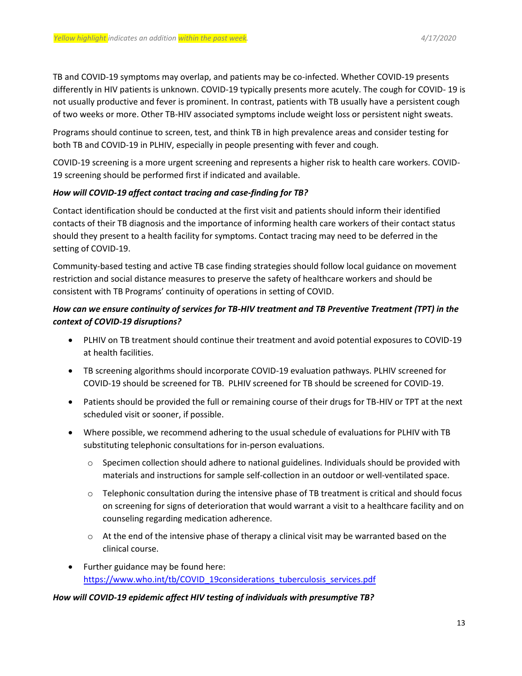TB and COVID-19 symptoms may overlap, and patients may be co-infected. Whether COVID-19 presents differently in HIV patients is unknown. COVID-19 typically presents more acutely. The cough for COVID- 19 is not usually productive and fever is prominent. In contrast, patients with TB usually have a persistent cough of two weeks or more. Other TB-HIV associated symptoms include weight loss or persistent night sweats.

Programs should continue to screen, test, and think TB in high prevalence areas and consider testing for both TB and COVID-19 in PLHIV, especially in people presenting with fever and cough.

COVID-19 screening is a more urgent screening and represents a higher risk to health care workers. COVID-19 screening should be performed first if indicated and available.

## *How will COVID-19 affect contact tracing and case-finding for TB?*

Contact identification should be conducted at the first visit and patients should inform their identified contacts of their TB diagnosis and the importance of informing health care workers of their contact status should they present to a health facility for symptoms. Contact tracing may need to be deferred in the setting of COVID-19.

Community-based testing and active TB case finding strategies should follow local guidance on movement restriction and social distance measures to preserve the safety of healthcare workers and should be consistent with TB Programs' continuity of operations in setting of COVID.

## *How can we ensure continuity of services for TB-HIV treatment and TB Preventive Treatment (TPT) in the context of COVID-19 disruptions?*

- PLHIV on TB treatment should continue their treatment and avoid potential exposures to COVID-19 at health facilities.
- TB screening algorithms should incorporate COVID-19 evaluation pathways. PLHIV screened for COVID-19 should be screened for TB. PLHIV screened for TB should be screened for COVID-19.
- Patients should be provided the full or remaining course of their drugs for TB-HIV or TPT at the next scheduled visit or sooner, if possible.
- Where possible, we recommend adhering to the usual schedule of evaluations for PLHIV with TB substituting telephonic consultations for in-person evaluations.
	- $\circ$  Specimen collection should adhere to national guidelines. Individuals should be provided with materials and instructions for sample self-collection in an outdoor or well-ventilated space.
	- $\circ$  Telephonic consultation during the intensive phase of TB treatment is critical and should focus on screening for signs of deterioration that would warrant a visit to a healthcare facility and on counseling regarding medication adherence.
	- $\circ$  At the end of the intensive phase of therapy a clinical visit may be warranted based on the clinical course.
- Further guidance may be found here: [https://www.who.int/tb/COVID\\_19considerations\\_tuberculosis\\_services.pdf](https://www.who.int/tb/COVID_19considerations_tuberculosis_services.pdf)

### *How will COVID-19 epidemic affect HIV testing of individuals with presumptive TB?*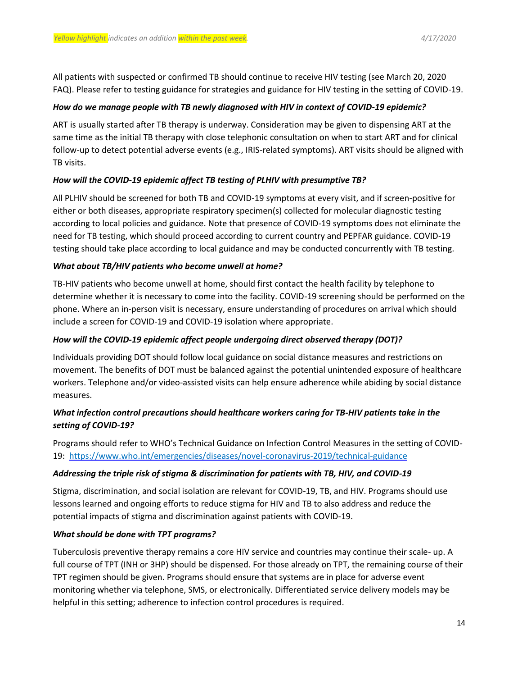All patients with suspected or confirmed TB should continue to receive HIV testing (see March 20, 2020 FAQ). Please refer to testing guidance for strategies and guidance for HIV testing in the setting of COVID-19.

#### *How do we manage people with TB newly diagnosed with HIV in context of COVID-19 epidemic?*

ART is usually started after TB therapy is underway. Consideration may be given to dispensing ART at the same time as the initial TB therapy with close telephonic consultation on when to start ART and for clinical follow-up to detect potential adverse events (e.g., IRIS-related symptoms). ART visits should be aligned with TB visits.

### *How will the COVID-19 epidemic affect TB testing of PLHIV with presumptive TB?*

All PLHIV should be screened for both TB and COVID-19 symptoms at every visit, and if screen-positive for either or both diseases, appropriate respiratory specimen(s) collected for molecular diagnostic testing according to local policies and guidance. Note that presence of COVID-19 symptoms does not eliminate the need for TB testing, which should proceed according to current country and PEPFAR guidance. COVID-19 testing should take place according to local guidance and may be conducted concurrently with TB testing.

#### *What about TB/HIV patients who become unwell at home?*

TB-HIV patients who become unwell at home, should first contact the health facility by telephone to determine whether it is necessary to come into the facility. COVID-19 screening should be performed on the phone. Where an in-person visit is necessary, ensure understanding of procedures on arrival which should include a screen for COVID-19 and COVID-19 isolation where appropriate.

#### *How will the COVID-19 epidemic affect people undergoing direct observed therapy (DOT)?*

Individuals providing DOT should follow local guidance on social distance measures and restrictions on movement. The benefits of DOT must be balanced against the potential unintended exposure of healthcare workers. Telephone and/or video-assisted visits can help ensure adherence while abiding by social distance measures.

## *What infection control precautions should healthcare workers caring for TB-HIV patients take in the setting of COVID-19?*

Programs should refer to WHO's Technical Guidance on Infection Control Measures in the setting of COVID-19: <https://www.who.int/emergencies/diseases/novel-coronavirus-2019/technical-guidance>

### *Addressing the triple risk of stigma & discrimination for patients with TB, HIV, and COVID-19*

Stigma, discrimination, and social isolation are relevant for COVID-19, TB, and HIV. Programs should use lessons learned and ongoing efforts to reduce stigma for HIV and TB to also address and reduce the potential impacts of stigma and discrimination against patients with COVID-19.

### *What should be done with TPT programs?*

Tuberculosis preventive therapy remains a core HIV service and countries may continue their scale- up. A full course of TPT (INH or 3HP) should be dispensed. For those already on TPT, the remaining course of their TPT regimen should be given. Programs should ensure that systems are in place for adverse event monitoring whether via telephone, SMS, or electronically. Differentiated service delivery models may be helpful in this setting; adherence to infection control procedures is required.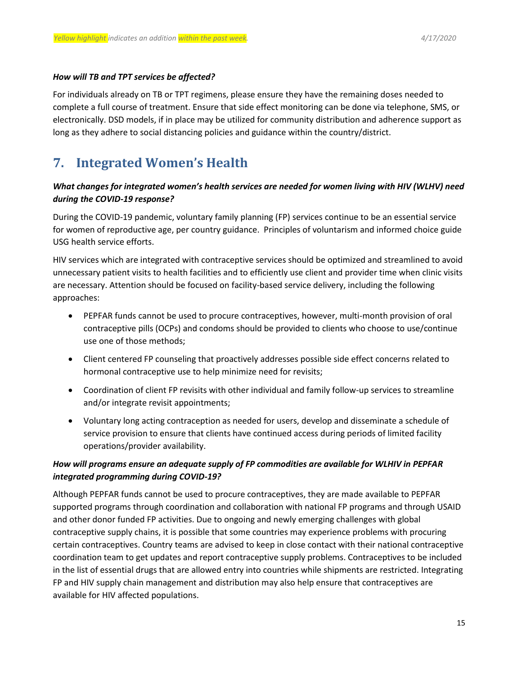#### *How will TB and TPT services be affected?*

For individuals already on TB or TPT regimens, please ensure they have the remaining doses needed to complete a full course of treatment. Ensure that side effect monitoring can be done via telephone, SMS, or electronically. DSD models, if in place may be utilized for community distribution and adherence support as long as they adhere to social distancing policies and guidance within the country/district.

# <span id="page-14-0"></span>**7. Integrated Women's Health**

## *What changes for integrated women's health services are needed for women living with HIV (WLHV) need during the COVID-19 response?*

During the COVID-19 pandemic, voluntary family planning (FP) services continue to be an essential service for women of reproductive age, per country guidance. Principles of voluntarism and informed choice guide USG health service efforts.

HIV services which are integrated with contraceptive services should be optimized and streamlined to avoid unnecessary patient visits to health facilities and to efficiently use client and provider time when clinic visits are necessary. Attention should be focused on facility-based service delivery, including the following approaches:

- PEPFAR funds cannot be used to procure contraceptives, however, multi-month provision of oral contraceptive pills (OCPs) and condoms should be provided to clients who choose to use/continue use one of those methods;
- Client centered FP counseling that proactively addresses possible side effect concerns related to hormonal contraceptive use to help minimize need for revisits;
- Coordination of client FP revisits with other individual and family follow-up services to streamline and/or integrate revisit appointments;
- Voluntary long acting contraception as needed for users, develop and disseminate a schedule of service provision to ensure that clients have continued access during periods of limited facility operations/provider availability.

## *How will programs ensure an adequate supply of FP commodities are available for WLHIV in PEPFAR integrated programming during COVID-19?*

Although PEPFAR funds cannot be used to procure contraceptives, they are made available to PEPFAR supported programs through coordination and collaboration with national FP programs and through USAID and other donor funded FP activities. Due to ongoing and newly emerging challenges with global contraceptive supply chains, it is possible that some countries may experience problems with procuring certain contraceptives. Country teams are advised to keep in close contact with their national contraceptive coordination team to get updates and report contraceptive supply problems. Contraceptives to be included in the list of essential drugs that are allowed entry into countries while shipments are restricted. Integrating FP and HIV supply chain management and distribution may also help ensure that contraceptives are available for HIV affected populations.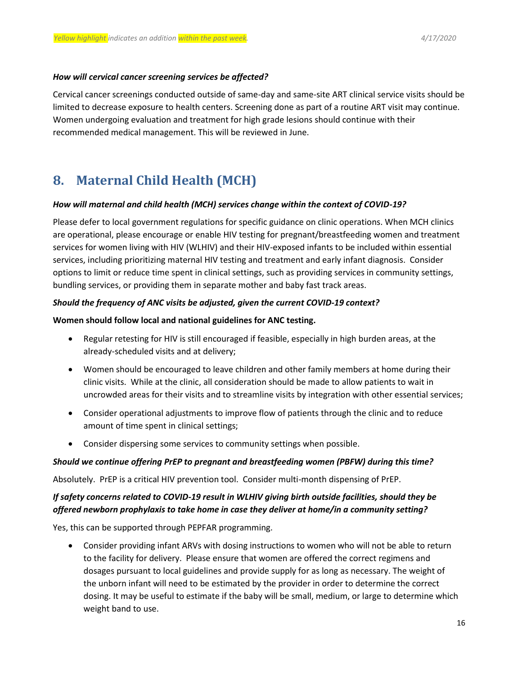#### *How will cervical cancer screening services be affected?*

Cervical cancer screenings conducted outside of same-day and same-site ART clinical service visits should be limited to decrease exposure to health centers. Screening done as part of a routine ART visit may continue. Women undergoing evaluation and treatment for high grade lesions should continue with their recommended medical management. This will be reviewed in June.

# <span id="page-15-0"></span>**8. Maternal Child Health (MCH)**

#### *How will maternal and child health (MCH) services change within the context of COVID-19?*

Please defer to local government regulations for specific guidance on clinic operations. When MCH clinics are operational, please encourage or enable HIV testing for pregnant/breastfeeding women and treatment services for women living with HIV (WLHIV) and their HIV-exposed infants to be included within essential services, including prioritizing maternal HIV testing and treatment and early infant diagnosis. Consider options to limit or reduce time spent in clinical settings, such as providing services in community settings, bundling services, or providing them in separate mother and baby fast track areas.

### *Should the frequency of ANC visits be adjusted, given the current COVID-19 context?*

#### **Women should follow local and national guidelines for ANC testing.**

- Regular retesting for HIV is still encouraged if feasible, especially in high burden areas, at the already-scheduled visits and at delivery;
- Women should be encouraged to leave children and other family members at home during their clinic visits. While at the clinic, all consideration should be made to allow patients to wait in uncrowded areas for their visits and to streamline visits by integration with other essential services;
- Consider operational adjustments to improve flow of patients through the clinic and to reduce amount of time spent in clinical settings;
- Consider dispersing some services to community settings when possible.

#### *Should we continue offering PrEP to pregnant and breastfeeding women (PBFW) during this time?*

Absolutely. PrEP is a critical HIV prevention tool. Consider multi-month dispensing of PrEP.

## *If safety concerns related to COVID-19 result in WLHIV giving birth outside facilities, should they be offered newborn prophylaxis to take home in case they deliver at home/in a community setting?*

Yes, this can be supported through PEPFAR programming.

 Consider providing infant ARVs with dosing instructions to women who will not be able to return to the facility for delivery. Please ensure that women are offered the correct regimens and dosages pursuant to local guidelines and provide supply for as long as necessary. The weight of the unborn infant will need to be estimated by the provider in order to determine the correct dosing. It may be useful to estimate if the baby will be small, medium, or large to determine which weight band to use.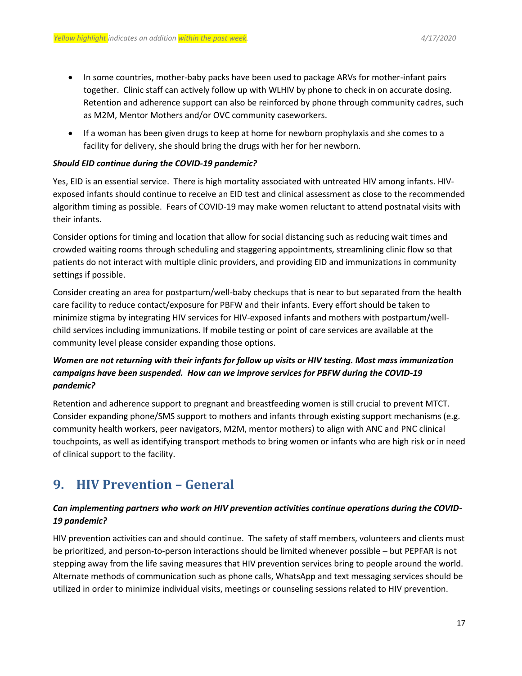- In some countries, mother-baby packs have been used to package ARVs for mother-infant pairs together. Clinic staff can actively follow up with WLHIV by phone to check in on accurate dosing. Retention and adherence support can also be reinforced by phone through community cadres, such as M2M, Mentor Mothers and/or OVC community caseworkers.
- If a woman has been given drugs to keep at home for newborn prophylaxis and she comes to a facility for delivery, she should bring the drugs with her for her newborn.

#### *Should EID continue during the COVID-19 pandemic?*

Yes, EID is an essential service. There is high mortality associated with untreated HIV among infants. HIVexposed infants should continue to receive an EID test and clinical assessment as close to the recommended algorithm timing as possible. Fears of COVID-19 may make women reluctant to attend postnatal visits with their infants.

Consider options for timing and location that allow for social distancing such as reducing wait times and crowded waiting rooms through scheduling and staggering appointments, streamlining clinic flow so that patients do not interact with multiple clinic providers, and providing EID and immunizations in community settings if possible.

Consider creating an area for postpartum/well-baby checkups that is near to but separated from the health care facility to reduce contact/exposure for PBFW and their infants. Every effort should be taken to minimize stigma by integrating HIV services for HIV-exposed infants and mothers with postpartum/wellchild services including immunizations. If mobile testing or point of care services are available at the community level please consider expanding those options.

## *Women are not returning with their infants for follow up visits or HIV testing. Most mass immunization campaigns have been suspended. How can we improve services for PBFW during the COVID-19 pandemic?*

Retention and adherence support to pregnant and breastfeeding women is still crucial to prevent MTCT. Consider expanding phone/SMS support to mothers and infants through existing support mechanisms (e.g. community health workers, peer navigators, M2M, mentor mothers) to align with ANC and PNC clinical touchpoints, as well as identifying transport methods to bring women or infants who are high risk or in need of clinical support to the facility.

## <span id="page-16-0"></span>**9. HIV Prevention – General**

## *Can implementing partners who work on HIV prevention activities continue operations during the COVID-19 pandemic?*

HIV prevention activities can and should continue. The safety of staff members, volunteers and clients must be prioritized, and person-to-person interactions should be limited whenever possible – but PEPFAR is not stepping away from the life saving measures that HIV prevention services bring to people around the world. Alternate methods of communication such as phone calls, WhatsApp and text messaging services should be utilized in order to minimize individual visits, meetings or counseling sessions related to HIV prevention.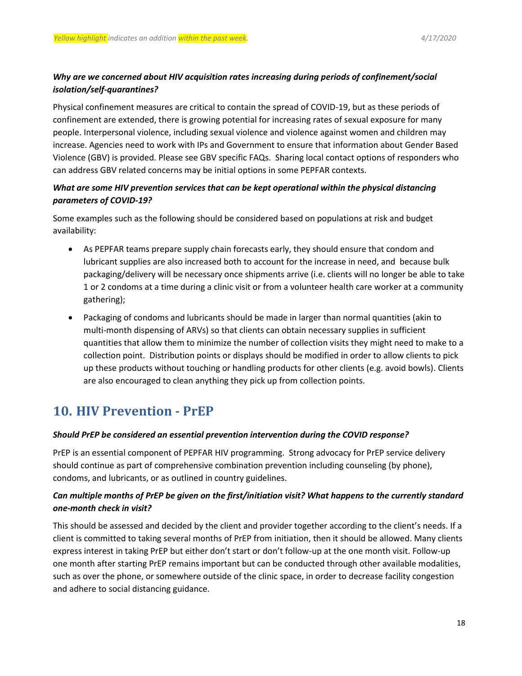## *Why are we concerned about HIV acquisition rates increasing during periods of confinement/social isolation/self-quarantines?*

Physical confinement measures are critical to contain the spread of COVID-19, but as these periods of confinement are extended, there is growing potential for increasing rates of sexual exposure for many people. Interpersonal violence, including sexual violence and violence against women and children may increase. Agencies need to work with IPs and Government to ensure that information about Gender Based Violence (GBV) is provided. Please see GBV specific FAQs. Sharing local contact options of responders who can address GBV related concerns may be initial options in some PEPFAR contexts.

## *What are some HIV prevention services that can be kept operational within the physical distancing parameters of COVID-19?*

Some examples such as the following should be considered based on populations at risk and budget availability:

- As PEPFAR teams prepare supply chain forecasts early, they should ensure that condom and lubricant supplies are also increased both to account for the increase in need, and because bulk packaging/delivery will be necessary once shipments arrive (i.e. clients will no longer be able to take 1 or 2 condoms at a time during a clinic visit or from a volunteer health care worker at a community gathering);
- Packaging of condoms and lubricants should be made in larger than normal quantities (akin to multi-month dispensing of ARVs) so that clients can obtain necessary supplies in sufficient quantities that allow them to minimize the number of collection visits they might need to make to a collection point. Distribution points or displays should be modified in order to allow clients to pick up these products without touching or handling products for other clients (e.g. avoid bowls). Clients are also encouraged to clean anything they pick up from collection points.

# <span id="page-17-0"></span>**10. HIV Prevention - PrEP**

### *Should PrEP be considered an essential prevention intervention during the COVID response?*

PrEP is an essential component of PEPFAR HIV programming. Strong advocacy for PrEP service delivery should continue as part of comprehensive combination prevention including counseling (by phone), condoms, and lubricants, or as outlined in country guidelines.

## *Can multiple months of PrEP be given on the first/initiation visit? What happens to the currently standard one-month check in visit?*

This should be assessed and decided by the client and provider together according to the client's needs. If a client is committed to taking several months of PrEP from initiation, then it should be allowed. Many clients express interest in taking PrEP but either don't start or don't follow-up at the one month visit. Follow-up one month after starting PrEP remains important but can be conducted through other available modalities, such as over the phone, or somewhere outside of the clinic space, in order to decrease facility congestion and adhere to social distancing guidance.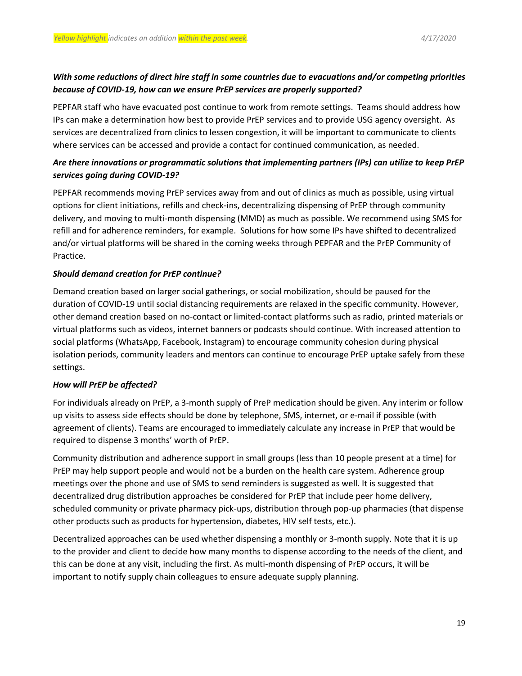## *With some reductions of direct hire staff in some countries due to evacuations and/or competing priorities because of COVID-19, how can we ensure PrEP services are properly supported?*

PEPFAR staff who have evacuated post continue to work from remote settings. Teams should address how IPs can make a determination how best to provide PrEP services and to provide USG agency oversight. As services are decentralized from clinics to lessen congestion, it will be important to communicate to clients where services can be accessed and provide a contact for continued communication, as needed.

## *Are there innovations or programmatic solutions that implementing partners (IPs) can utilize to keep PrEP services going during COVID-19?*

PEPFAR recommends moving PrEP services away from and out of clinics as much as possible, using virtual options for client initiations, refills and check-ins, decentralizing dispensing of PrEP through community delivery, and moving to multi-month dispensing (MMD) as much as possible. We recommend using SMS for refill and for adherence reminders, for example. Solutions for how some IPs have shifted to decentralized and/or virtual platforms will be shared in the coming weeks through PEPFAR and the PrEP Community of Practice.

### *Should demand creation for PrEP continue?*

Demand creation based on larger social gatherings, or social mobilization, should be paused for the duration of COVID-19 until social distancing requirements are relaxed in the specific community. However, other demand creation based on no-contact or limited-contact platforms such as radio, printed materials or virtual platforms such as videos, internet banners or podcasts should continue. With increased attention to social platforms (WhatsApp, Facebook, Instagram) to encourage community cohesion during physical isolation periods, community leaders and mentors can continue to encourage PrEP uptake safely from these settings.

### *How will PrEP be affected?*

For individuals already on PrEP, a 3-month supply of PreP medication should be given. Any interim or follow up visits to assess side effects should be done by telephone, SMS, internet, or e-mail if possible (with agreement of clients). Teams are encouraged to immediately calculate any increase in PrEP that would be required to dispense 3 months' worth of PrEP.

Community distribution and adherence support in small groups (less than 10 people present at a time) for PrEP may help support people and would not be a burden on the health care system. Adherence group meetings over the phone and use of SMS to send reminders is suggested as well. It is suggested that decentralized drug distribution approaches be considered for PrEP that include peer home delivery, scheduled community or private pharmacy pick-ups, distribution through pop-up pharmacies (that dispense other products such as products for hypertension, diabetes, HIV self tests, etc.).

Decentralized approaches can be used whether dispensing a monthly or 3-month supply. Note that it is up to the provider and client to decide how many months to dispense according to the needs of the client, and this can be done at any visit, including the first. As multi-month dispensing of PrEP occurs, it will be important to notify supply chain colleagues to ensure adequate supply planning.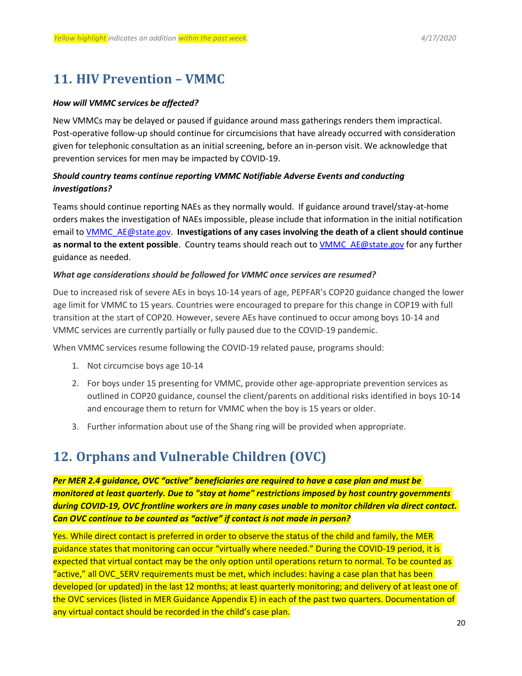## <span id="page-19-0"></span>**11. HIV Prevention – VMMC**

#### *How will VMMC services be affected?*

New VMMCs may be delayed or paused if guidance around mass gatherings renders them impractical. Post-operative follow-up should continue for circumcisions that have already occurred with consideration given for telephonic consultation as an initial screening, before an in-person visit. We acknowledge that prevention services for men may be impacted by COVID-19.

## *Should country teams continue reporting VMMC Notifiable Adverse Events and conducting investigations?*

Teams should continue reporting NAEs as they normally would. If guidance around travel/stay-at-home orders makes the investigation of NAEs impossible, please include that information in the initial notification email to [VMMC\\_AE@state.gov.](mailto:VMMC_AE@state.gov) **Investigations of any cases involving the death of a client should continue as normal to the extent possible**. Country teams should reach out to [VMMC\\_AE@state.gov](mailto:VMMC_AE@state.gov) for any further guidance as needed.

#### *What age considerations should be followed for VMMC once services are resumed?*

Due to increased risk of severe AEs in boys 10-14 years of age, PEPFAR's COP20 guidance changed the lower age limit for VMMC to 15 years. Countries were encouraged to prepare for this change in COP19 with full transition at the start of COP20. However, severe AEs have continued to occur among boys 10-14 and VMMC services are currently partially or fully paused due to the COVID-19 pandemic.

When VMMC services resume following the COVID-19 related pause, programs should:

- 1. Not circumcise boys age 10-14
- 2. For boys under 15 presenting for VMMC, provide other age-appropriate prevention services as outlined in COP20 guidance, counsel the client/parents on additional risks identified in boys 10-14 and encourage them to return for VMMC when the boy is 15 years or older.
- 3. Further information about use of the Shang ring will be provided when appropriate.

# <span id="page-19-1"></span>**12. Orphans and Vulnerable Children (OVC)**

*Per MER 2.4 guidance, OVC "active" beneficiaries are required to have a case plan and must be monitored at least quarterly. Due to "stay at home" restrictions imposed by host country governments during COVID-19, OVC frontline workers are in many cases unable to monitor children via direct contact. Can OVC continue to be counted as "active" if contact is not made in person?*

Yes. While direct contact is preferred in order to observe the status of the child and family, the MER guidance states that monitoring can occur "virtually where needed." During the COVID-19 period, it is expected that virtual contact may be the only option until operations return to normal. To be counted as "active," all OVC\_SERV requirements must be met, which includes: having a case plan that has been developed (or updated) in the last 12 months; at least quarterly monitoring; and delivery of at least one of the OVC services (listed in MER Guidance Appendix E) in each of the past two quarters. Documentation of any virtual contact should be recorded in the child's case plan.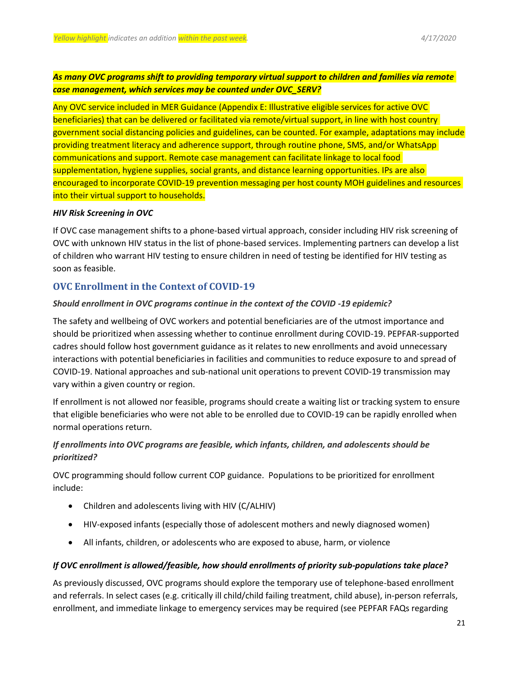## *As many OVC programs shift to providing temporary virtual support to children and families via remote case management, which services may be counted under OVC\_SERV?*

Any OVC service included in MER Guidance (Appendix E: Illustrative eligible services for active OVC beneficiaries) that can be delivered or facilitated via remote/virtual support, in line with host country government social distancing policies and guidelines, can be counted. For example, adaptations may include providing treatment literacy and adherence support, through routine phone, SMS, and/or WhatsApp communications and support. Remote case management can facilitate linkage to local food supplementation, hygiene supplies, social grants, and distance learning opportunities. IPs are also encouraged to incorporate COVID-19 prevention messaging per host county MOH guidelines and resources into their virtual support to households.

#### *HIV Risk Screening in OVC*

If OVC case management shifts to a phone-based virtual approach, consider including HIV risk screening of OVC with unknown HIV status in the list of phone-based services. Implementing partners can develop a list of children who warrant HIV testing to ensure children in need of testing be identified for HIV testing as soon as feasible.

## **OVC Enrollment in the Context of COVID-19**

### *Should enrollment in OVC programs continue in the context of the COVID -19 epidemic?*

The safety and wellbeing of OVC workers and potential beneficiaries are of the utmost importance and should be prioritized when assessing whether to continue enrollment during COVID-19. PEPFAR-supported cadres should follow host government guidance as it relates to new enrollments and avoid unnecessary interactions with potential beneficiaries in facilities and communities to reduce exposure to and spread of COVID-19. National approaches and sub-national unit operations to prevent COVID-19 transmission may vary within a given country or region.

If enrollment is not allowed nor feasible, programs should create a waiting list or tracking system to ensure that eligible beneficiaries who were not able to be enrolled due to COVID-19 can be rapidly enrolled when normal operations return.

## *If enrollments into OVC programs are feasible, which infants, children, and adolescents should be prioritized?*

OVC programming should follow current COP guidance. Populations to be prioritized for enrollment include:

- Children and adolescents living with HIV (C/ALHIV)
- HIV-exposed infants (especially those of adolescent mothers and newly diagnosed women)
- All infants, children, or adolescents who are exposed to abuse, harm, or violence

### *If OVC enrollment is allowed/feasible, how should enrollments of priority sub-populations take place?*

As previously discussed, OVC programs should explore the temporary use of telephone-based enrollment and referrals. In select cases (e.g. critically ill child/child failing treatment, child abuse), in-person referrals, enrollment, and immediate linkage to emergency services may be required (see PEPFAR FAQs regarding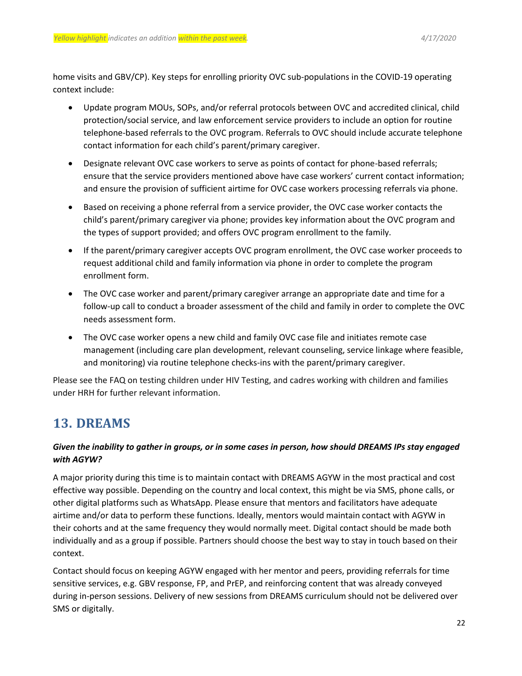home visits and GBV/CP). Key steps for enrolling priority OVC sub-populations in the COVID-19 operating context include:

- Update program MOUs, SOPs, and/or referral protocols between OVC and accredited clinical, child protection/social service, and law enforcement service providers to include an option for routine telephone-based referrals to the OVC program. Referrals to OVC should include accurate telephone contact information for each child's parent/primary caregiver.
- Designate relevant OVC case workers to serve as points of contact for phone-based referrals; ensure that the service providers mentioned above have case workers' current contact information; and ensure the provision of sufficient airtime for OVC case workers processing referrals via phone.
- Based on receiving a phone referral from a service provider, the OVC case worker contacts the child's parent/primary caregiver via phone; provides key information about the OVC program and the types of support provided; and offers OVC program enrollment to the family.
- If the parent/primary caregiver accepts OVC program enrollment, the OVC case worker proceeds to request additional child and family information via phone in order to complete the program enrollment form.
- The OVC case worker and parent/primary caregiver arrange an appropriate date and time for a follow-up call to conduct a broader assessment of the child and family in order to complete the OVC needs assessment form.
- The OVC case worker opens a new child and family OVC case file and initiates remote case management (including care plan development, relevant counseling, service linkage where feasible, and monitoring) via routine telephone checks-ins with the parent/primary caregiver.

Please see the FAQ on testing children under HIV Testing, and cadres working with children and families under HRH for further relevant information.

# <span id="page-21-0"></span>**13. DREAMS**

## *Given the inability to gather in groups, or in some cases in person, how should DREAMS IPs stay engaged with AGYW?*

A major priority during this time is to maintain contact with DREAMS AGYW in the most practical and cost effective way possible. Depending on the country and local context, this might be via SMS, phone calls, or other digital platforms such as WhatsApp. Please ensure that mentors and facilitators have adequate airtime and/or data to perform these functions. Ideally, mentors would maintain contact with AGYW in their cohorts and at the same frequency they would normally meet. Digital contact should be made both individually and as a group if possible. Partners should choose the best way to stay in touch based on their context.

Contact should focus on keeping AGYW engaged with her mentor and peers, providing referrals for time sensitive services, e.g. GBV response, FP, and PrEP, and reinforcing content that was already conveyed during in-person sessions. Delivery of new sessions from DREAMS curriculum should not be delivered over SMS or digitally.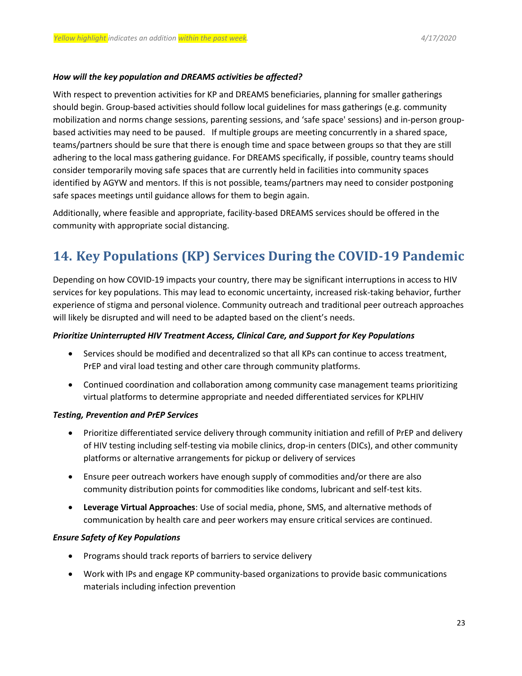#### *How will the key population and DREAMS activities be affected?*

With respect to prevention activities for KP and DREAMS beneficiaries, planning for smaller gatherings should begin. Group-based activities should follow local guidelines for mass gatherings (e.g. community mobilization and norms change sessions, parenting sessions, and 'safe space' sessions) and in-person groupbased activities may need to be paused. If multiple groups are meeting concurrently in a shared space, teams/partners should be sure that there is enough time and space between groups so that they are still adhering to the local mass gathering guidance. For DREAMS specifically, if possible, country teams should consider temporarily moving safe spaces that are currently held in facilities into community spaces identified by AGYW and mentors. If this is not possible, teams/partners may need to consider postponing safe spaces meetings until guidance allows for them to begin again.

Additionally, where feasible and appropriate, facility-based DREAMS services should be offered in the community with appropriate social distancing.

# <span id="page-22-0"></span>**14. Key Populations (KP) Services During the COVID-19 Pandemic**

Depending on how COVID-19 impacts your country, there may be significant interruptions in access to HIV services for key populations. This may lead to economic uncertainty, increased risk-taking behavior, further experience of stigma and personal violence. Community outreach and traditional peer outreach approaches will likely be disrupted and will need to be adapted based on the client's needs.

#### *Prioritize Uninterrupted HIV Treatment Access, Clinical Care, and Support for Key Populations*

- Services should be modified and decentralized so that all KPs can continue to access treatment, PrEP and viral load testing and other care through community platforms.
- Continued coordination and collaboration among community case management teams prioritizing virtual platforms to determine appropriate and needed differentiated services for KPLHIV

#### *Testing, Prevention and PrEP Services*

- Prioritize differentiated service delivery through community initiation and refill of PrEP and delivery of HIV testing including self-testing via mobile clinics, drop-in centers (DICs), and other community platforms or alternative arrangements for pickup or delivery of services
- Ensure peer outreach workers have enough supply of commodities and/or there are also community distribution points for commodities like condoms, lubricant and self-test kits.
- **Leverage Virtual Approaches**: Use of social media, phone, SMS, and alternative methods of communication by health care and peer workers may ensure critical services are continued.

#### *Ensure Safety of Key Populations*

- Programs should track reports of barriers to service delivery
- Work with IPs and engage KP community-based organizations to provide basic communications materials including infection prevention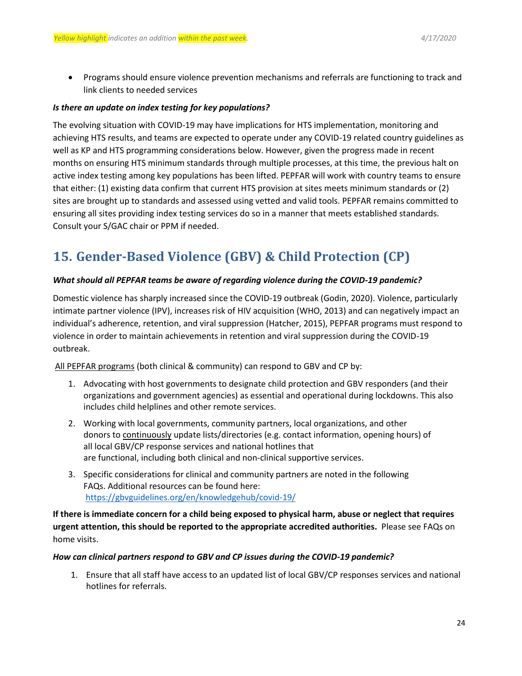Programs should ensure violence prevention mechanisms and referrals are functioning to track and link clients to needed services

#### *Is there an update on index testing for key populations?*

The evolving situation with COVID-19 may have implications for HTS implementation, monitoring and achieving HTS results, and teams are expected to operate under any COVID-19 related country guidelines as well as KP and HTS programming considerations below. However, given the progress made in recent months on ensuring HTS minimum standards through multiple processes, at this time, the previous halt on active index testing among key populations has been lifted. PEPFAR will work with country teams to ensure that either: (1) existing data confirm that current HTS provision at sites meets minimum standards or (2) sites are brought up to standards and assessed using vetted and valid tools. PEPFAR remains committed to ensuring all sites providing index testing services do so in a manner that meets established standards. Consult your S/GAC chair or PPM if needed.

# <span id="page-23-0"></span>**15. Gender-Based Violence (GBV) & Child Protection (CP)**

#### *What should all PEPFAR teams be aware of regarding violence during the COVID-19 pandemic?*

Domestic violence has sharply increased since the COVID-19 outbreak (Godin, 2020). Violence, particularly intimate partner violence (IPV), increases risk of HIV acquisition (WHO, 2013) and can negatively impact an individual's adherence, retention, and viral suppression (Hatcher, 2015), PEPFAR programs must respond to violence in order to maintain achievements in retention and viral suppression during the COVID-19 outbreak.   

All PEPFAR programs (both clinical & community) can respond to GBV and CP by: 

- 1. Advocating with host governments to designate child protection and GBV responders (and their organizations and government agencies) as essential and operational during lockdowns. This also includes child helplines and other remote services.
- 2. Working with local governments, community partners, local organizations, and other donors to continuously update lists/directories (e.g. contact information, opening hours) of all local GBV/CP response services and national hotlines that are functional, including both clinical and non-clinical supportive services.
- 3. Specific considerations for clinical and community partners are noted in the following FAQs. Additional resources can be found here: <https://gbvguidelines.org/en/knowledgehub/covid-19/>

**If there is immediate concern for a child being exposed to physical harm, abuse or neglect that requires urgent attention, this should be reported to the appropriate accredited authorities.** Please see FAQs on home visits.   

#### *How can clinical partners respond to GBV and CP issues during the COVID-19 pandemic?*

1. Ensure that all staff have access to an updated list of local GBV/CP responses services and national hotlines for referrals.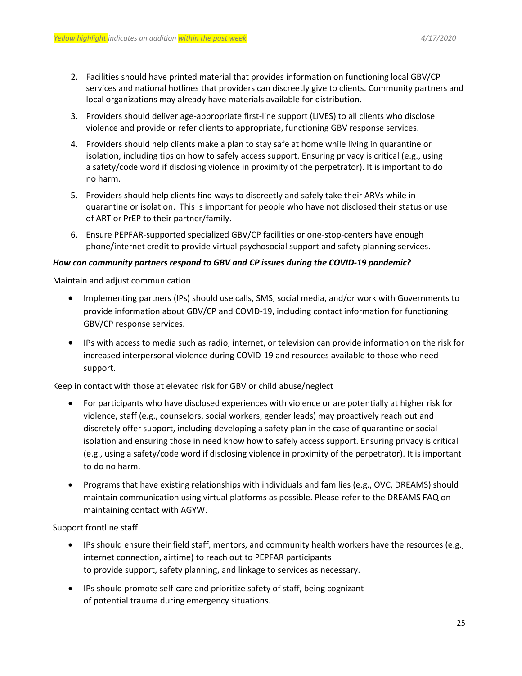- 2. Facilities should have printed material that provides information on functioning local GBV/CP services and national hotlines that providers can discreetly give to clients. Community partners and local organizations may already have materials available for distribution.
- 3. Providers should deliver age-appropriate first-line support (LIVES) to all clients who disclose violence and provide or refer clients to appropriate, functioning GBV response services.
- 4. Providers should help clients make a plan to stay safe at home while living in quarantine or isolation, including tips on how to safely access support. Ensuring privacy is critical (e.g., using a safety/code word if disclosing violence in proximity of the perpetrator). It is important to do no harm.
- 5. Providers should help clients find ways to discreetly and safely take their ARVs while in quarantine or isolation.  This is important for people who have not disclosed their status or use of ART or PrEP to their partner/family.
- 6. Ensure PEPFAR-supported specialized GBV/CP facilities or one-stop-centers have enough phone/internet credit to provide virtual psychosocial support and safety planning services.

#### *How can community partners respond to GBV and CP issues during the COVID-19 pandemic?*

Maintain and adjust communication 

- Implementing partners (IPs) should use calls, SMS, social media, and/or work with Governments to provide information about GBV/CP and COVID-19, including contact information for functioning GBV/CP response services.
- IPs with access to media such as radio, internet, or television can provide information on the risk for increased interpersonal violence during COVID-19 and resources available to those who need support.

Keep in contact with those at elevated risk for GBV or child abuse/neglect

- For participants who have disclosed experiences with violence or are potentially at higher risk for violence, staff (e.g., counselors, social workers, gender leads) may proactively reach out and discretely offer support, including developing a safety plan in the case of quarantine or social isolation and ensuring those in need know how to safely access support. Ensuring privacy is critical (e.g., using a safety/code word if disclosing violence in proximity of the perpetrator). It is important to do no harm.
- Programs that have existing relationships with individuals and families (e.g., OVC, DREAMS) should maintain communication using virtual platforms as possible. Please refer to the DREAMS FAQ on maintaining contact with AGYW.

Support frontline staff 

- IPs should ensure their field staff, mentors, and community health workers have the resources (e.g., internet connection, airtime) to reach out to PEPFAR participants to provide support, safety planning, and linkage to services as necessary.
- IPs should promote self-care and prioritize safety of staff, being cognizant of potential trauma during emergency situations.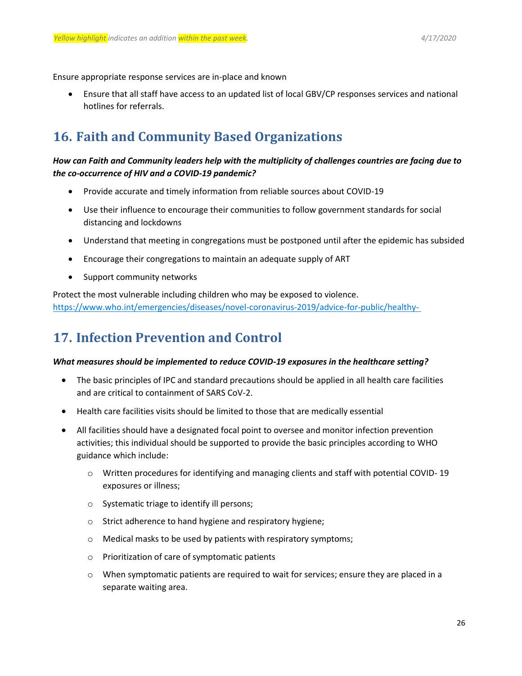Ensure appropriate response services are in-place and known 

 Ensure that all staff have access to an updated list of local GBV/CP responses services and national hotlines for referrals.

# <span id="page-25-0"></span>**16. Faith and Community Based Organizations**

## *How can Faith and Community leaders help with the multiplicity of challenges countries are facing due to the co-occurrence of HIV and a COVID-19 pandemic?*

- Provide accurate and timely information from reliable sources about COVID-19
- Use their influence to encourage their communities to follow government standards for social distancing and lockdowns
- Understand that meeting in congregations must be postponed until after the epidemic has subsided
- Encourage their congregations to maintain an adequate supply of ART
- Support community networks

Protect the most vulnerable including children who may be exposed to violence. [https://www.who.int/emergencies/diseases/novel-coronavirus-2019/advice-for-public/healthy-](https://www.who.int/emergencies/diseases/novel-coronavirus-2019/advice-for-public/healthy-parenting)

# <span id="page-25-1"></span>**17. Infection Prevention and Control**

#### *What measures should be implemented to reduce COVID-19 exposures in the healthcare setting?*

- The basic principles of IPC and standard precautions should be applied in all health care facilities and are critical to containment of SARS CoV-2.
- Health care facilities visits should be limited to those that are medically essential
- All facilities should have a designated focal point to oversee and monitor infection prevention activities; this individual should be supported to provide the basic principles according to WHO guidance which include:
	- o Written procedures for identifying and managing clients and staff with potential COVID- 19 exposures or illness;
	- o Systematic triage to identify ill persons;
	- o Strict adherence to hand hygiene and respiratory hygiene;
	- o Medical masks to be used by patients with respiratory symptoms;
	- o Prioritization of care of symptomatic patients
	- $\circ$  When symptomatic patients are required to wait for services; ensure they are placed in a separate waiting area.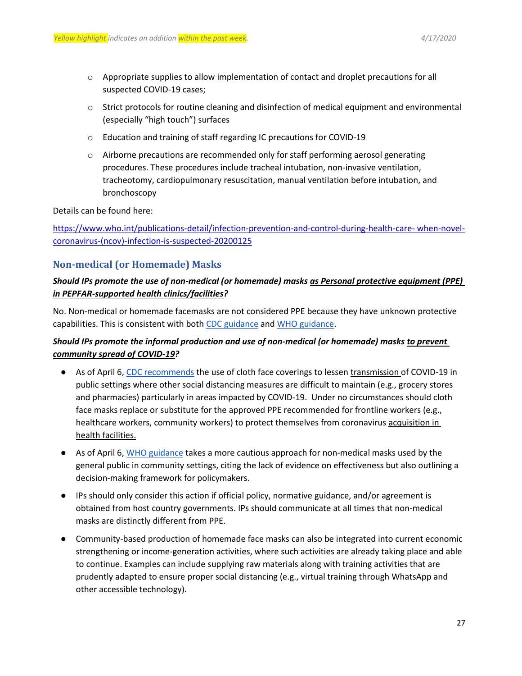- $\circ$  Appropriate supplies to allow implementation of contact and droplet precautions for all suspected COVID-19 cases;
- o Strict protocols for routine cleaning and disinfection of medical equipment and environmental (especially "high touch") surfaces
- o Education and training of staff regarding IC precautions for COVID-19
- o Airborne precautions are recommended only for staff performing aerosol generating procedures. These procedures include tracheal intubation, non-invasive ventilation, tracheotomy, cardiopulmonary resuscitation, manual ventilation before intubation, and bronchoscopy

Details can be found here:

[https://www.who.int/publications-detail/infection-prevention-and-control-during-health-care-](https://www.who.int/publications-detail/infection-prevention-and-control-during-health-care-when-novel-coronavirus-(ncov)-infection-is-suspected-20200125) [when-novel](https://www.who.int/publications-detail/infection-prevention-and-control-during-health-care-when-novel-coronavirus-(ncov)-infection-is-suspected-20200125)[coronavirus-\(ncov\)-infection-is-suspected-20200125](https://www.who.int/publications-detail/infection-prevention-and-control-during-health-care-when-novel-coronavirus-(ncov)-infection-is-suspected-20200125)

## **Non-medical (or Homemade) Masks**

## *Should IPs promote the use of non-medical (or homemade) masks as Personal protective equipment (PPE) in PEPFAR-supported health clinics/facilities?*

No. Non-medical or homemade facemasks are not considered PPE because they have unknown protective capabilities. This is consistent with bot[h CDC guidance](https://www.cdc.gov/coronavirus/2019-ncov/hcp/ppe-strategy/face-masks.html) and [WHO guidance.](https://www.who.int/publications-detail/advice-on-the-use-of-masks-in-the-community-during-home-care-and-in-healthcare-settings-in-the-context-of-the-novel-coronavirus-(2019-ncov)-outbreak)

## *Should IPs promote the informal production and use of non-medical (or homemade) masks to prevent community spread of COVID-19?*

- As of April 6, [CDC recommends](https://www.cdc.gov/coronavirus/2019-ncov/prevent-getting-sick/cloth-face-cover.html) the use of cloth face coverings to lessen transmission of COVID-19 in public settings where other social distancing measures are difficult to maintain (e.g., grocery stores and pharmacies) particularly in areas impacted by COVID-19. Under no circumstances should cloth face masks replace or substitute for the approved PPE recommended for frontline workers (e.g., healthcare workers, community workers) to protect themselves from coronavirus acquisition in health facilities.
- As of April 6, [WHO guidance](https://www.who.int/publications-detail/advice-on-the-use-of-masks-in-the-community-during-home-care-and-in-healthcare-settings-in-the-context-of-the-novel-coronavirus-(2019-ncov)-outbreak) takes a more cautious approach for non-medical masks used by the general public in community settings, citing the lack of evidence on effectiveness but also outlining a decision-making framework for policymakers.
- IPs should only consider this action if official policy, normative guidance, and/or agreement is obtained from host country governments. IPs should communicate at all times that non-medical masks are distinctly different from PPE.
- Community-based production of homemade face masks can also be integrated into current economic strengthening or income-generation activities, where such activities are already taking place and able to continue. Examples can include supplying raw materials along with training activities that are prudently adapted to ensure proper social distancing (e.g., virtual training through WhatsApp and other accessible technology).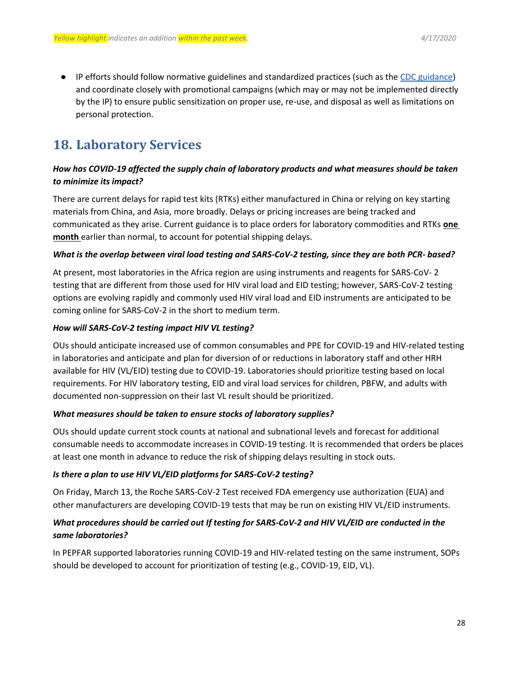● IP efforts should follow normative guidelines and standardized practices (such as th[e CDC guidance\)](https://www.cdc.gov/coronavirus/2019-ncov/prevent-getting-sick/diy-cloth-face-coverings.html) and coordinate closely with promotional campaigns (which may or may not be implemented directly by the IP) to ensure public sensitization on proper use, re-use, and disposal as well as limitations on personal protection.

# <span id="page-27-0"></span>**18. Laboratory Services**

## *How has COVID-19 affected the supply chain of laboratory products and what measures should be taken to minimize its impact?*

There are current delays for rapid test kits (RTKs) either manufactured in China or relying on key starting materials from China, and Asia, more broadly. Delays or pricing increases are being tracked and communicated as they arise. Current guidance is to place orders for laboratory commodities and RTKs **one month** earlier than normal, to account for potential shipping delays.

### *What is the overlap between viral load testing and SARS-CoV-2 testing, since they are both PCR- based?*

At present, most laboratories in the Africa region are using instruments and reagents for SARS-CoV- 2 testing that are different from those used for HIV viral load and EID testing; however, SARS-CoV-2 testing options are evolving rapidly and commonly used HIV viral load and EID instruments are anticipated to be coming online for SARS-CoV-2 in the short to medium term.

### *How will SARS-CoV-2 testing impact HIV VL testing?*

OUs should anticipate increased use of common consumables and PPE for COVID-19 and HIV-related testing in laboratories and anticipate and plan for diversion of or reductions in laboratory staff and other HRH available for HIV (VL/EID) testing due to COVID-19. Laboratories should prioritize testing based on local requirements. For HIV laboratory testing, EID and viral load services for children, PBFW, and adults with documented non-suppression on their last VL result should be prioritized.

### *What measures should be taken to ensure stocks of laboratory supplies?*

OUs should update current stock counts at national and subnational levels and forecast for additional consumable needs to accommodate increases in COVID-19 testing. It is recommended that orders be places at least one month in advance to reduce the risk of shipping delays resulting in stock outs.

### *Is there a plan to use HIV VL/EID platforms for SARS-CoV-2 testing?*

On Friday, March 13, the Roche SARS-CoV-2 Test received FDA emergency use authorization (EUA) and other manufacturers are developing COVID-19 tests that may be run on existing HIV VL/EID instruments.

## *What procedures should be carried out If testing for SARS-CoV-2 and HIV VL/EID are conducted in the same laboratories?*

In PEPFAR supported laboratories running COVID-19 and HIV-related testing on the same instrument, SOPs should be developed to account for prioritization of testing (e.g., COVID-19, EID, VL).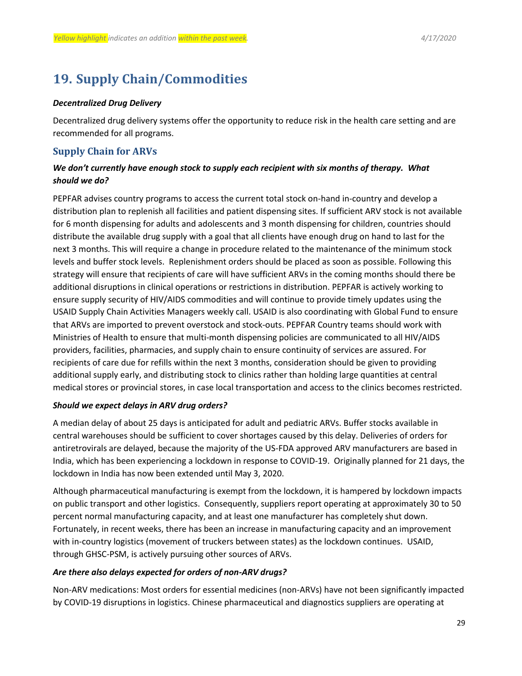# <span id="page-28-0"></span>**19. Supply Chain/Commodities**

#### *Decentralized Drug Delivery*

Decentralized drug delivery systems offer the opportunity to reduce risk in the health care setting and are recommended for all programs.

## **Supply Chain for ARVs**

## *We don't currently have enough stock to supply each recipient with six months of therapy. What should we do?*

PEPFAR advises country programs to access the current total stock on-hand in-country and develop a distribution plan to replenish all facilities and patient dispensing sites. If sufficient ARV stock is not available for 6 month dispensing for adults and adolescents and 3 month dispensing for children, countries should distribute the available drug supply with a goal that all clients have enough drug on hand to last for the next 3 months. This will require a change in procedure related to the maintenance of the minimum stock levels and buffer stock levels. Replenishment orders should be placed as soon as possible. Following this strategy will ensure that recipients of care will have sufficient ARVs in the coming months should there be additional disruptions in clinical operations or restrictions in distribution. PEPFAR is actively working to ensure supply security of HIV/AIDS commodities and will continue to provide timely updates using the USAID Supply Chain Activities Managers weekly call. USAID is also coordinating with Global Fund to ensure that ARVs are imported to prevent overstock and stock-outs. PEPFAR Country teams should work with Ministries of Health to ensure that multi-month dispensing policies are communicated to all HIV/AIDS providers, facilities, pharmacies, and supply chain to ensure continuity of services are assured. For recipients of care due for refills within the next 3 months, consideration should be given to providing additional supply early, and distributing stock to clinics rather than holding large quantities at central medical stores or provincial stores, in case local transportation and access to the clinics becomes restricted.

#### *Should we expect delays in ARV drug orders?*

A median delay of about 25 days is anticipated for adult and pediatric ARVs. Buffer stocks available in central warehouses should be sufficient to cover shortages caused by this delay. Deliveries of orders for antiretrovirals are delayed, because the majority of the US-FDA approved ARV manufacturers are based in India, which has been experiencing a lockdown in response to COVID-19. Originally planned for 21 days, the lockdown in India has now been extended until May 3, 2020.

Although pharmaceutical manufacturing is exempt from the lockdown, it is hampered by lockdown impacts on public transport and other logistics. Consequently, suppliers report operating at approximately 30 to 50 percent normal manufacturing capacity, and at least one manufacturer has completely shut down. Fortunately, in recent weeks, there has been an increase in manufacturing capacity and an improvement with in-country logistics (movement of truckers between states) as the lockdown continues. USAID, through GHSC-PSM, is actively pursuing other sources of ARVs.

### *Are there also delays expected for orders of non-ARV drugs?*

Non-ARV medications: Most orders for essential medicines (non-ARVs) have not been significantly impacted by COVID-19 disruptions in logistics. Chinese pharmaceutical and diagnostics suppliers are operating at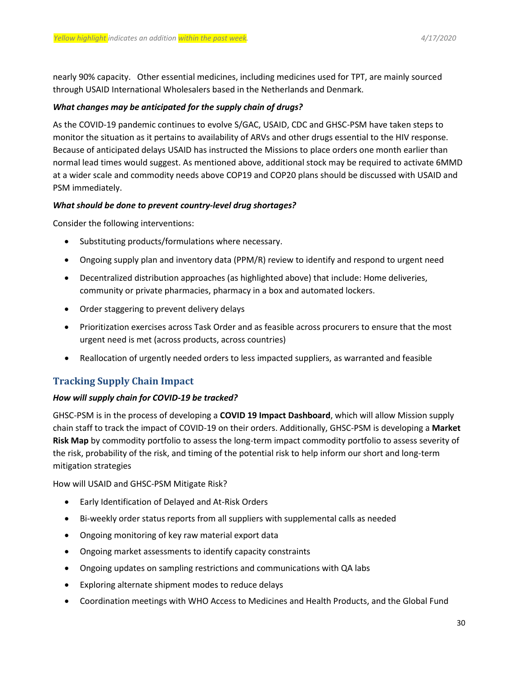nearly 90% capacity. Other essential medicines, including medicines used for TPT, are mainly sourced through USAID International Wholesalers based in the Netherlands and Denmark.

#### *What changes may be anticipated for the supply chain of drugs?*

As the COVID-19 pandemic continues to evolve S/GAC, USAID, CDC and GHSC-PSM have taken steps to monitor the situation as it pertains to availability of ARVs and other drugs essential to the HIV response. Because of anticipated delays USAID has instructed the Missions to place orders one month earlier than normal lead times would suggest. As mentioned above, additional stock may be required to activate 6MMD at a wider scale and commodity needs above COP19 and COP20 plans should be discussed with USAID and PSM immediately.

#### *What should be done to prevent country-level drug shortages?*

Consider the following interventions:

- Substituting products/formulations where necessary.
- Ongoing supply plan and inventory data (PPM/R) review to identify and respond to urgent need
- Decentralized distribution approaches (as highlighted above) that include: Home deliveries, community or private pharmacies, pharmacy in a box and automated lockers.
- Order staggering to prevent delivery delays
- Prioritization exercises across Task Order and as feasible across procurers to ensure that the most urgent need is met (across products, across countries)
- Reallocation of urgently needed orders to less impacted suppliers, as warranted and feasible

## **Tracking Supply Chain Impact**

#### *How will supply chain for COVID-19 be tracked?*

GHSC-PSM is in the process of developing a **COVID 19 Impact Dashboard**, which will allow Mission supply chain staff to track the impact of COVID-19 on their orders. Additionally, GHSC-PSM is developing a **Market Risk Map** by commodity portfolio to assess the long-term impact commodity portfolio to assess severity of the risk, probability of the risk, and timing of the potential risk to help inform our short and long-term mitigation strategies

How will USAID and GHSC-PSM Mitigate Risk?

- Early Identification of Delayed and At-Risk Orders
- Bi-weekly order status reports from all suppliers with supplemental calls as needed
- Ongoing monitoring of key raw material export data
- Ongoing market assessments to identify capacity constraints
- Ongoing updates on sampling restrictions and communications with QA labs
- Exploring alternate shipment modes to reduce delays
- Coordination meetings with WHO Access to Medicines and Health Products, and the Global Fund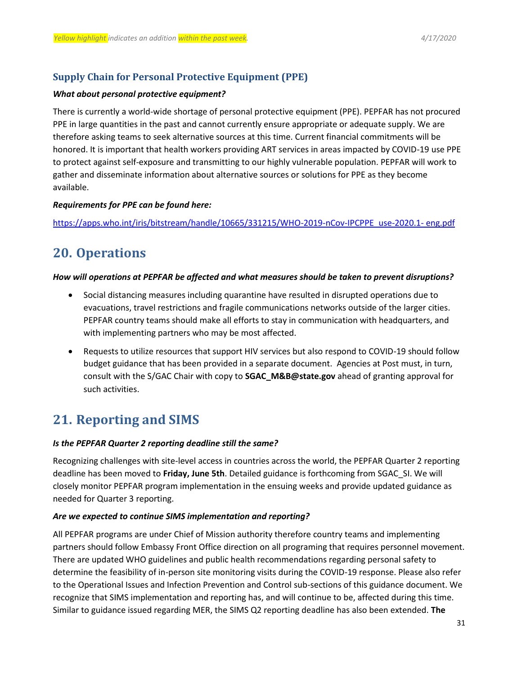## **Supply Chain for Personal Protective Equipment (PPE)**

#### *What about personal protective equipment?*

There is currently a world-wide shortage of personal protective equipment (PPE). PEPFAR has not procured PPE in large quantities in the past and cannot currently ensure appropriate or adequate supply. We are therefore asking teams to seek alternative sources at this time. Current financial commitments will be honored. It is important that health workers providing ART services in areas impacted by COVID-19 use PPE to protect against self-exposure and transmitting to our highly vulnerable population. PEPFAR will work to gather and disseminate information about alternative sources or solutions for PPE as they become available.

#### *Requirements for PPE can be found here:*

[https://apps.who.int/iris/bitstream/handle/10665/331215/WHO-2019-nCov-IPCPPE\\_use-2020.1-](https://apps.who.int/iris/bitstream/handle/10665/331215/WHO-2019-nCov-IPCPPE_use-2020.1-) [eng.pdf](https://apps.who.int/iris/bitstream/handle/10665/331215/WHO-2019-nCov-IPCPPE_use-2020.1-eng.pdf)

# <span id="page-30-0"></span>**20. Operations**

#### *How will operations at PEPFAR be affected and what measures should be taken to prevent disruptions?*

- Social distancing measures including quarantine have resulted in disrupted operations due to evacuations, travel restrictions and fragile communications networks outside of the larger cities. PEPFAR country teams should make all efforts to stay in communication with headquarters, and with implementing partners who may be most affected.
- Requests to utilize resources that support HIV services but also respond to COVID-19 should follow budget guidance that has been provided in a separate document. Agencies at Post must, in turn, consult with the S/GAC Chair with copy to **[SGAC\\_M&B@state.gov](mailto:SGAC_M%26B@state.gov)** ahead of granting approval for such activities.

# <span id="page-30-1"></span>**21. Reporting and SIMS**

#### *Is the PEPFAR Quarter 2 reporting deadline still the same?*

Recognizing challenges with site-level access in countries across the world, the PEPFAR Quarter 2 reporting deadline has been moved to **Friday, June 5th**. Detailed guidance is forthcoming from SGAC\_SI. We will closely monitor PEPFAR program implementation in the ensuing weeks and provide updated guidance as needed for Quarter 3 reporting.

### *Are we expected to continue SIMS implementation and reporting?*

All PEPFAR programs are under Chief of Mission authority therefore country teams and implementing partners should follow Embassy Front Office direction on all programing that requires personnel movement. There are updated WHO guidelines and public health recommendations regarding personal safety to determine the feasibility of in-person site monitoring visits during the COVID-19 response. Please also refer to the Operational Issues and Infection Prevention and Control sub-sections of this guidance document. We recognize that SIMS implementation and reporting has, and will continue to be, affected during this time. Similar to guidance issued regarding MER, the SIMS Q2 reporting deadline has also been extended. **The**